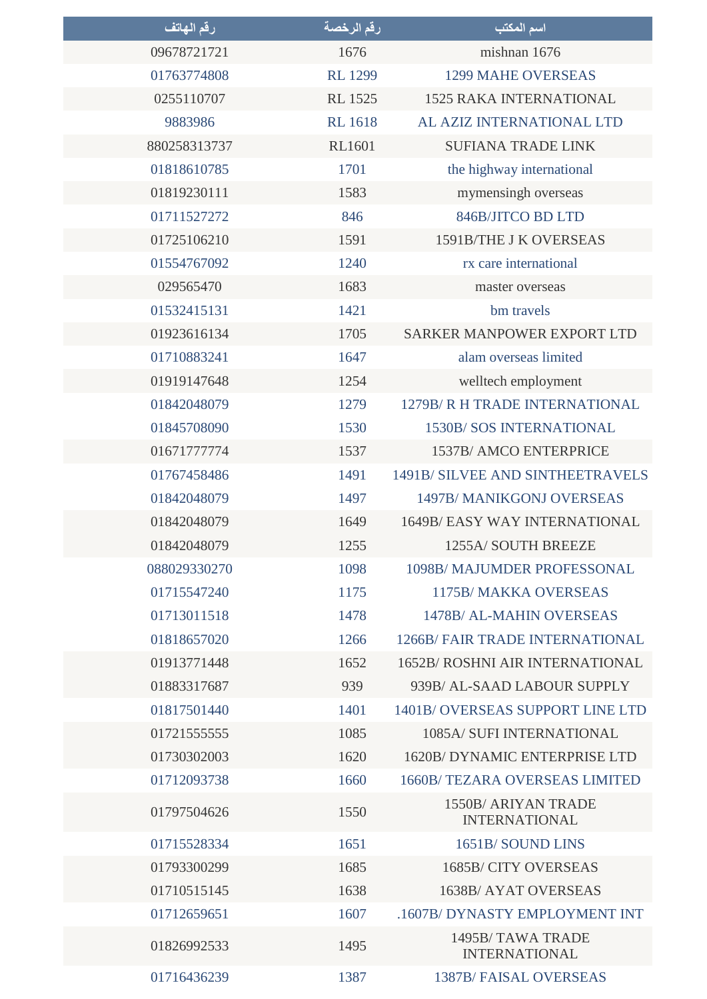| رقم المهاتف  | رقم الرخصة     | اسم المكتب                                         |
|--------------|----------------|----------------------------------------------------|
| 09678721721  | 1676           | mishnan 1676                                       |
| 01763774808  | <b>RL 1299</b> | <b>1299 MAHE OVERSEAS</b>                          |
| 0255110707   | <b>RL 1525</b> | <b>1525 RAKA INTERNATIONAL</b>                     |
| 9883986      | <b>RL</b> 1618 | AL AZIZ INTERNATIONAL LTD                          |
| 880258313737 | <b>RL1601</b>  | <b>SUFIANA TRADE LINK</b>                          |
| 01818610785  | 1701           | the highway international                          |
| 01819230111  | 1583           | mymensingh overseas                                |
| 01711527272  | 846            | 846B/JITCO BD LTD                                  |
| 01725106210  | 1591           | 1591B/THE J K OVERSEAS                             |
| 01554767092  | 1240           | rx care international                              |
| 029565470    | 1683           | master overseas                                    |
| 01532415131  | 1421           | bm travels                                         |
| 01923616134  | 1705           | <b>SARKER MANPOWER EXPORT LTD</b>                  |
| 01710883241  | 1647           | alam overseas limited                              |
| 01919147648  | 1254           | welltech employment                                |
| 01842048079  | 1279           | 1279B/R H TRADE INTERNATIONAL                      |
| 01845708090  | 1530           | <b>1530B/ SOS INTERNATIONAL</b>                    |
| 01671777774  | 1537           | 1537B/ AMCO ENTERPRICE                             |
| 01767458486  | 1491           | 1491B/ SILVEE AND SINTHEETRAVELS                   |
| 01842048079  | 1497           | 1497B/MANIKGONJ OVERSEAS                           |
| 01842048079  | 1649           | <b>1649B/ EASY WAY INTERNATIONAL</b>               |
| 01842048079  | 1255           | 1255A/ SOUTH BREEZE                                |
| 088029330270 | 1098           | 1098B/ MAJUMDER PROFESSONAL                        |
| 01715547240  | 1175           | <b>1175B/MAKKA OVERSEAS</b>                        |
| 01713011518  | 1478           | 1478B/ AL-MAHIN OVERSEAS                           |
| 01818657020  | 1266           | <b>1266B/ FAIR TRADE INTERNATIONAL</b>             |
| 01913771448  | 1652           | <b>1652B/ ROSHNI AIR INTERNATIONAL</b>             |
| 01883317687  | 939            | 939B/ AL-SAAD LABOUR SUPPLY                        |
| 01817501440  | 1401           | 1401B/OVERSEAS SUPPORT LINE LTD                    |
| 017215555555 | 1085           | 1085A/ SUFI INTERNATIONAL                          |
| 01730302003  | 1620           | 1620B/DYNAMIC ENTERPRISE LTD                       |
| 01712093738  | 1660           | <b>1660B/ TEZARA OVERSEAS LIMITED</b>              |
| 01797504626  | 1550           | <b>1550B/ ARIYAN TRADE</b><br><b>INTERNATIONAL</b> |
| 01715528334  | 1651           | 1651B/SOUND LINS                                   |
| 01793300299  | 1685           | 1685B/CITY OVERSEAS                                |
| 01710515145  | 1638           | 1638B/ AYAT OVERSEAS                               |
| 01712659651  | 1607           | .1607B/DYNASTY EMPLOYMENT INT                      |
| 01826992533  | 1495           | 1495B/TAWA TRADE<br><b>INTERNATIONAL</b>           |
| 01716436239  | 1387           | <b>1387B/FAISAL OVERSEAS</b>                       |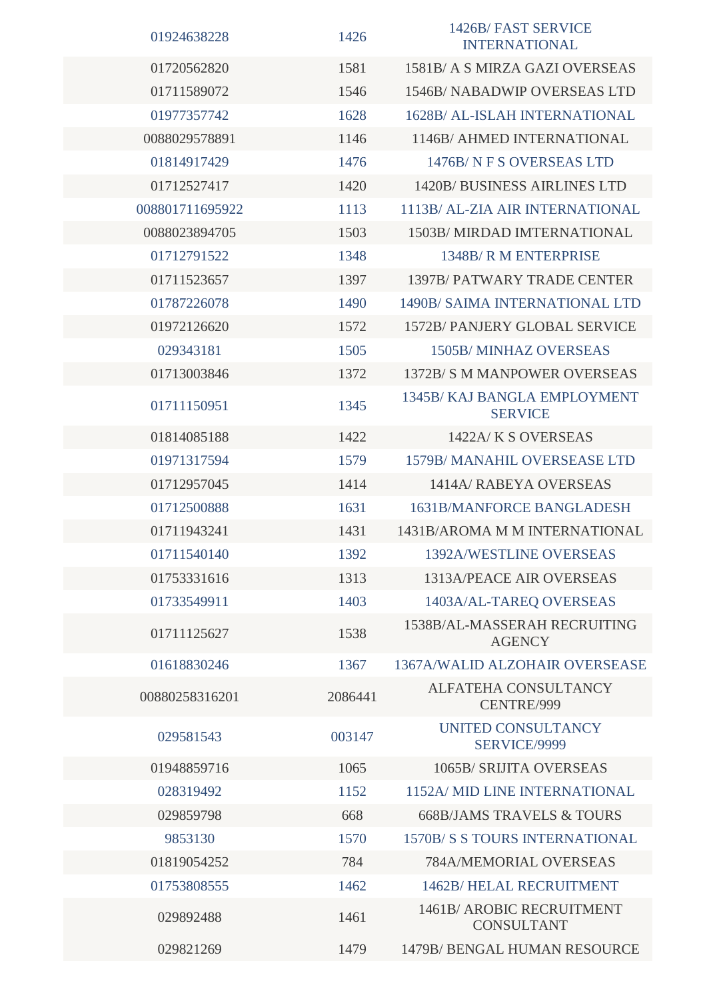| 01924638228     | 1426    | 1426B/FAST SERVICE<br><b>INTERNATIONAL</b>     |
|-----------------|---------|------------------------------------------------|
| 01720562820     | 1581    | 1581B/ A S MIRZA GAZI OVERSEAS                 |
| 01711589072     | 1546    | <b>1546B/ NABADWIP OVERSEAS LTD</b>            |
| 01977357742     | 1628    | <b>1628B/ AL-ISLAH INTERNATIONAL</b>           |
| 0088029578891   | 1146    | 1146B/ AHMED INTERNATIONAL                     |
| 01814917429     | 1476    | 1476B/NFS OVERSEAS LTD                         |
| 01712527417     | 1420    | <b>1420B/BUSINESS AIRLINES LTD</b>             |
| 008801711695922 | 1113    | 1113B/ AL-ZIA AIR INTERNATIONAL                |
| 0088023894705   | 1503    | 1503B/MIRDAD IMTERNATIONAL                     |
| 01712791522     | 1348    | 1348B/R M ENTERPRISE                           |
| 01711523657     | 1397    | <b>1397B/ PATWARY TRADE CENTER</b>             |
| 01787226078     | 1490    | <b>1490B/ SAIMA INTERNATIONAL LTD</b>          |
| 01972126620     | 1572    | <b>1572B/ PANJERY GLOBAL SERVICE</b>           |
| 029343181       | 1505    | <b>1505B/MINHAZ OVERSEAS</b>                   |
| 01713003846     | 1372    | 1372B/S M MANPOWER OVERSEAS                    |
| 01711150951     | 1345    | 1345B/KAJ BANGLA EMPLOYMENT<br><b>SERVICE</b>  |
| 01814085188     | 1422    | 1422A/K S OVERSEAS                             |
| 01971317594     | 1579    | 1579B/ MANAHIL OVERSEASE LTD                   |
| 01712957045     | 1414    | 1414A/RABEYA OVERSEAS                          |
| 01712500888     | 1631    | <b>1631B/MANFORCE BANGLADESH</b>               |
| 01711943241     | 1431    | 1431B/AROMA M M INTERNATIONAL                  |
| 01711540140     | 1392    | <b>1392A/WESTLINE OVERSEAS</b>                 |
| 01753331616     | 1313    | 1313A/PEACE AIR OVERSEAS                       |
| 01733549911     | 1403    | 1403A/AL-TAREQ OVERSEAS                        |
| 01711125627     | 1538    | 1538B/AL-MASSERAH RECRUITING<br><b>AGENCY</b>  |
| 01618830246     | 1367    | 1367A/WALID ALZOHAIR OVERSEASE                 |
| 00880258316201  | 2086441 | ALFATEHA CONSULTANCY<br>CENTRE/999             |
| 029581543       | 003147  | <b>UNITED CONSULTANCY</b><br>SERVICE/9999      |
| 01948859716     | 1065    | 1065B/ SRIJITA OVERSEAS                        |
| 028319492       | 1152    | 1152A/ MID LINE INTERNATIONAL                  |
| 029859798       | 668     | <b>668B/JAMS TRAVELS &amp; TOURS</b>           |
| 9853130         | 1570    | <b>1570B/S S TOURS INTERNATIONAL</b>           |
| 01819054252     | 784     | 784A/MEMORIAL OVERSEAS                         |
| 01753808555     | 1462    | 1462B/ HELAL RECRUITMENT                       |
| 029892488       | 1461    | 1461B/ AROBIC RECRUITMENT<br><b>CONSULTANT</b> |
| 029821269       | 1479    | 1479B/ BENGAL HUMAN RESOURCE                   |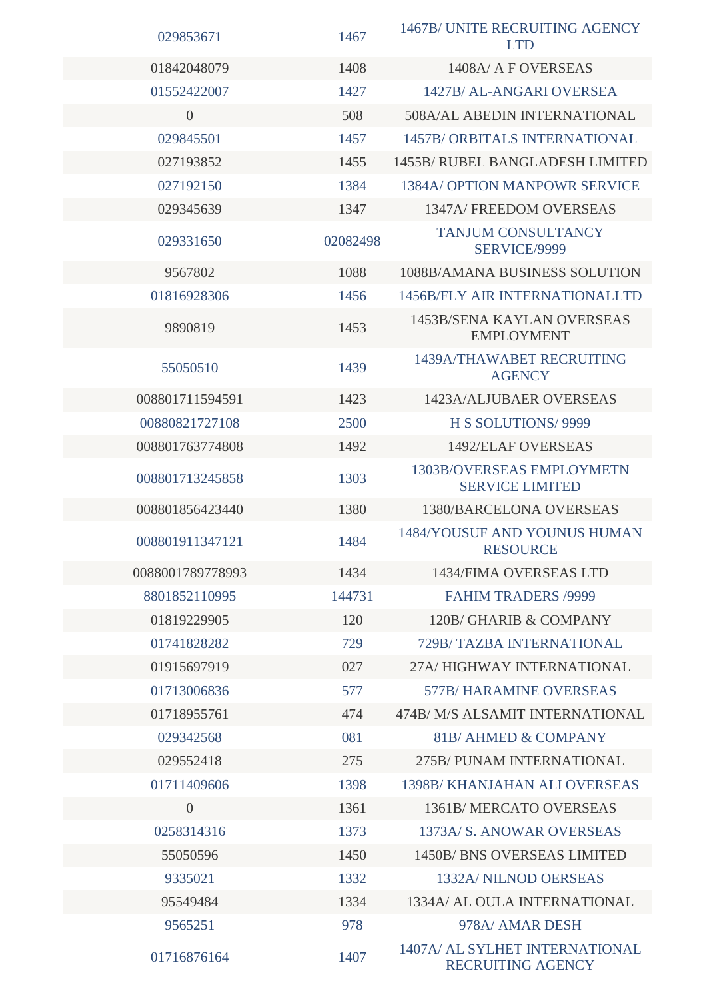| 029853671        | 1467     | 1467B/ UNITE RECRUITING AGENCY<br><b>LTD</b>               |
|------------------|----------|------------------------------------------------------------|
| 01842048079      | 1408     | 1408A/ A F OVERSEAS                                        |
| 01552422007      | 1427     | 1427B/ AL-ANGARI OVERSEA                                   |
| $\overline{0}$   | 508      | 508A/AL ABEDIN INTERNATIONAL                               |
| 029845501        | 1457     | <b>1457B/ ORBITALS INTERNATIONAL</b>                       |
| 027193852        | 1455     | <b>1455B/ RUBEL BANGLADESH LIMITED</b>                     |
| 027192150        | 1384     | 1384A/ OPTION MANPOWR SERVICE                              |
| 029345639        | 1347     | 1347A/FREEDOM OVERSEAS                                     |
| 029331650        | 02082498 | <b>TANJUM CONSULTANCY</b><br>SERVICE/9999                  |
| 9567802          | 1088     | 1088B/AMANA BUSINESS SOLUTION                              |
| 01816928306      | 1456     | 1456B/FLY AIR INTERNATIONALLTD                             |
| 9890819          | 1453     | <b>1453B/SENA KAYLAN OVERSEAS</b><br><b>EMPLOYMENT</b>     |
| 55050510         | 1439     | 1439A/THAWABET RECRUITING<br><b>AGENCY</b>                 |
| 008801711594591  | 1423     | 1423A/ALJUBAER OVERSEAS                                    |
| 00880821727108   | 2500     | H S SOLUTIONS/ 9999                                        |
| 008801763774808  | 1492     | 1492/ELAF OVERSEAS                                         |
| 008801713245858  | 1303     | <b>1303B/OVERSEAS EMPLOYMETN</b><br><b>SERVICE LIMITED</b> |
| 008801856423440  | 1380     | <b>1380/BARCELONA OVERSEAS</b>                             |
| 008801911347121  | 1484     | <b>1484/YOUSUF AND YOUNUS HUMAN</b><br><b>RESOURCE</b>     |
| 0088001789778993 | 1434     | <b>1434/FIMA OVERSEAS LTD</b>                              |
| 8801852110995    | 144731   | <b>FAHIM TRADERS /9999</b>                                 |
| 01819229905      | 120      | 120B/GHARIB & COMPANY                                      |
| 01741828282      | 729      | 729B/TAZBA INTERNATIONAL                                   |
| 01915697919      | 027      | 27A/HIGHWAY INTERNATIONAL                                  |
| 01713006836      | 577      | <b>577B/HARAMINE OVERSEAS</b>                              |
| 01718955761      | 474      | 474B/ M/S ALSAMIT INTERNATIONAL                            |
| 029342568        | 081      | 81B/AHMED & COMPANY                                        |
| 029552418        | 275      | 275B/PUNAM INTERNATIONAL                                   |
| 01711409606      | 1398     | <b>1398B/ KHANJAHAN ALI OVERSEAS</b>                       |
| $\overline{0}$   | 1361     | 1361B/MERCATO OVERSEAS                                     |
| 0258314316       | 1373     | 1373A/ S. ANOWAR OVERSEAS                                  |
| 55050596         | 1450     | <b>1450B/BNS OVERSEAS LIMITED</b>                          |
| 9335021          | 1332     | 1332A/ NILNOD OERSEAS                                      |
| 95549484         | 1334     | 1334A/ AL OULA INTERNATIONAL                               |
| 9565251          | 978      | 978A/ AMAR DESH                                            |
| 01716876164      | 1407     | 1407A/ AL SYLHET INTERNATIONAL<br><b>RECRUITING AGENCY</b> |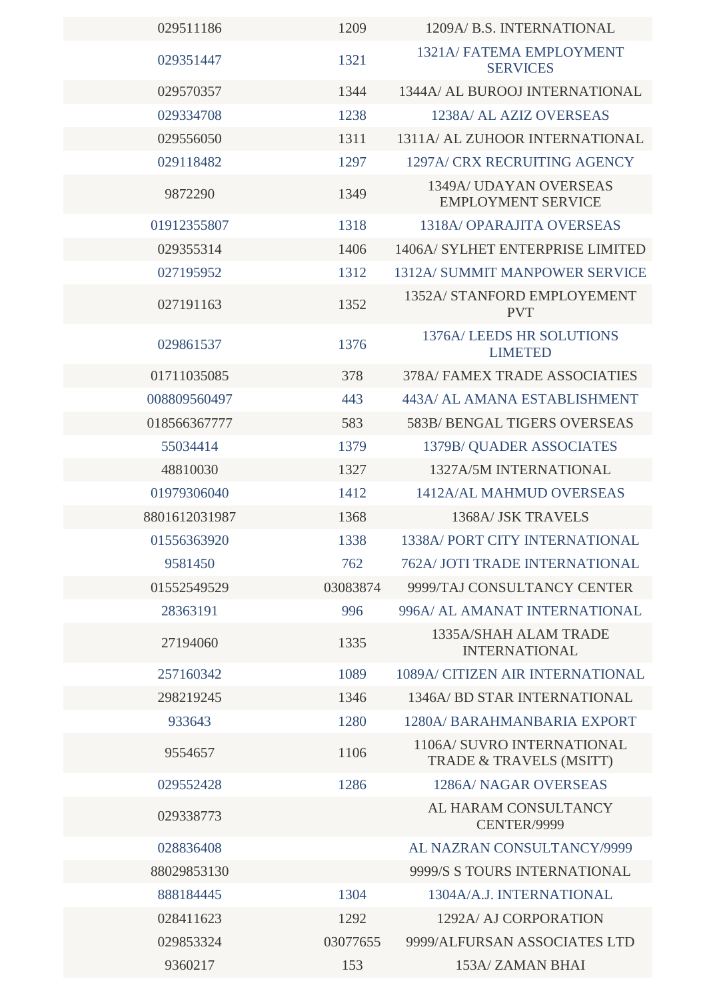| 029511186     | 1209     | 1209A/ B.S. INTERNATIONAL                             |
|---------------|----------|-------------------------------------------------------|
| 029351447     | 1321     | <b>1321A/ FATEMA EMPLOYMENT</b><br><b>SERVICES</b>    |
| 029570357     | 1344     | 1344A/ AL BUROOJ INTERNATIONAL                        |
| 029334708     | 1238     | 1238A/ AL AZIZ OVERSEAS                               |
| 029556050     | 1311     | 1311A/ AL ZUHOOR INTERNATIONAL                        |
| 029118482     | 1297     | 1297A/ CRX RECRUITING AGENCY                          |
| 9872290       | 1349     | 1349A/ UDAYAN OVERSEAS<br><b>EMPLOYMENT SERVICE</b>   |
| 01912355807   | 1318     | <b>1318A/ OPARAJITA OVERSEAS</b>                      |
| 029355314     | 1406     | 1406A/ SYLHET ENTERPRISE LIMITED                      |
| 027195952     | 1312     | <b>1312A/ SUMMIT MANPOWER SERVICE</b>                 |
| 027191163     | 1352     | 1352A/ STANFORD EMPLOYEMENT<br><b>PVT</b>             |
| 029861537     | 1376     | <b>1376A/LEEDS HR SOLUTIONS</b><br><b>LIMETED</b>     |
| 01711035085   | 378      | <b>378A/ FAMEX TRADE ASSOCIATIES</b>                  |
| 008809560497  | 443      | 443A/ AL AMANA ESTABLISHMENT                          |
| 018566367777  | 583      | <b>583B/ BENGAL TIGERS OVERSEAS</b>                   |
| 55034414      | 1379     | 1379B/QUADER ASSOCIATES                               |
| 48810030      | 1327     | 1327A/5M INTERNATIONAL                                |
| 01979306040   | 1412     | <b>1412A/AL MAHMUD OVERSEAS</b>                       |
| 8801612031987 | 1368     | 1368A/ JSK TRAVELS                                    |
| 01556363920   | 1338     | <b>1338A/ PORT CITY INTERNATIONAL</b>                 |
| 9581450       | 762      | <b>762A/JOTI TRADE INTERNATIONAL</b>                  |
| 01552549529   | 03083874 | 9999/TAJ CONSULTANCY CENTER                           |
| 28363191      | 996      | 996A/ AL AMANAT INTERNATIONAL                         |
| 27194060      | 1335     | 1335A/SHAH ALAM TRADE<br><b>INTERNATIONAL</b>         |
| 257160342     | 1089     | 1089A/ CITIZEN AIR INTERNATIONAL                      |
| 298219245     | 1346     | <b>1346A/ BD STAR INTERNATIONAL</b>                   |
| 933643        | 1280     | 1280A/BARAHMANBARIA EXPORT                            |
| 9554657       | 1106     | 1106A/ SUVRO INTERNATIONAL<br>TRADE & TRAVELS (MSITT) |
| 029552428     | 1286     | <b>1286A/ NAGAR OVERSEAS</b>                          |
| 029338773     |          | AL HARAM CONSULTANCY<br>CENTER/9999                   |
| 028836408     |          | AL NAZRAN CONSULTANCY/9999                            |
| 88029853130   |          | 9999/S S TOURS INTERNATIONAL                          |
| 888184445     | 1304     | 1304A/A.J. INTERNATIONAL                              |
| 028411623     | 1292     | 1292A/ AJ CORPORATION                                 |
| 029853324     | 03077655 | 9999/ALFURSAN ASSOCIATES LTD                          |
| 9360217       | 153      | 153A/ZAMAN BHAI                                       |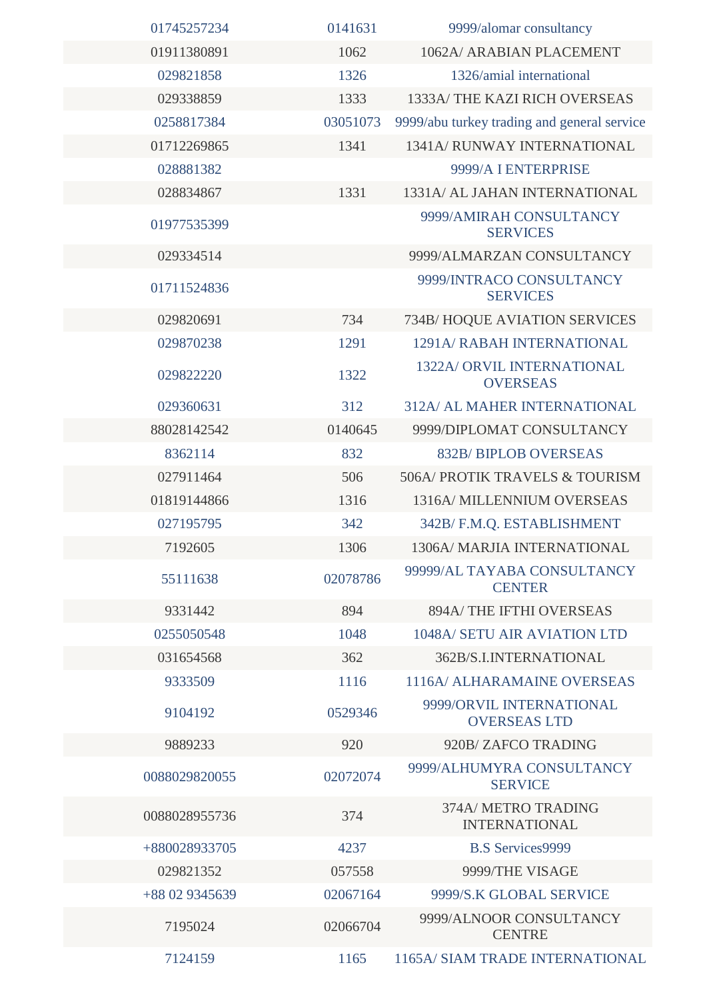| 01745257234    | 0141631  | 9999/alomar consultancy                         |
|----------------|----------|-------------------------------------------------|
| 01911380891    | 1062     | 1062A/ ARABIAN PLACEMENT                        |
| 029821858      | 1326     | 1326/amial international                        |
| 029338859      | 1333     | 1333A/THE KAZI RICH OVERSEAS                    |
| 0258817384     | 03051073 | 9999/abu turkey trading and general service     |
| 01712269865    | 1341     | <b>1341A/ RUNWAY INTERNATIONAL</b>              |
| 028881382      |          | 9999/A I ENTERPRISE                             |
| 028834867      | 1331     | 1331A/ AL JAHAN INTERNATIONAL                   |
| 01977535399    |          | 9999/AMIRAH CONSULTANCY<br><b>SERVICES</b>      |
| 029334514      |          | 9999/ALMARZAN CONSULTANCY                       |
| 01711524836    |          | 9999/INTRACO CONSULTANCY<br><b>SERVICES</b>     |
| 029820691      | 734      | 734B/HOQUE AVIATION SERVICES                    |
| 029870238      | 1291     | <b>1291A/ RABAH INTERNATIONAL</b>               |
| 029822220      | 1322     | 1322A/ ORVIL INTERNATIONAL<br><b>OVERSEAS</b>   |
| 029360631      | 312      | 312A/ AL MAHER INTERNATIONAL                    |
| 88028142542    | 0140645  | 9999/DIPLOMAT CONSULTANCY                       |
| 8362114        | 832      | <b>832B/BIPLOB OVERSEAS</b>                     |
| 027911464      | 506      | 506A/ PROTIK TRAVELS & TOURISM                  |
| 01819144866    | 1316     | 1316A/ MILLENNIUM OVERSEAS                      |
| 027195795      | 342      | 342B/ F.M.Q. ESTABLISHMENT                      |
| 7192605        | 1306     | 1306A/ MARJIA INTERNATIONAL                     |
| 55111638       | 02078786 | 99999/AL TAYABA CONSULTANCY<br><b>CENTER</b>    |
| 9331442        | 894      | <b>894A/ THE IFTHI OVERSEAS</b>                 |
| 0255050548     | 1048     | 1048A/ SETU AIR AVIATION LTD                    |
| 031654568      | 362      | 362B/S.I.INTERNATIONAL                          |
| 9333509        | 1116     | 1116A/ ALHARAMAINE OVERSEAS                     |
| 9104192        | 0529346  | 9999/ORVIL INTERNATIONAL<br><b>OVERSEAS LTD</b> |
| 9889233        | 920      | 920B/ZAFCO TRADING                              |
| 0088029820055  | 02072074 | 9999/ALHUMYRA CONSULTANCY<br><b>SERVICE</b>     |
| 0088028955736  | 374      | 374A/ METRO TRADING<br><b>INTERNATIONAL</b>     |
| +880028933705  | 4237     | <b>B.S Services9999</b>                         |
| 029821352      | 057558   | 9999/THE VISAGE                                 |
| +88 02 9345639 | 02067164 | 9999/S.K GLOBAL SERVICE                         |
| 7195024        | 02066704 | 9999/ALNOOR CONSULTANCY<br><b>CENTRE</b>        |
| 7124159        | 1165     | 1165A/ SIAM TRADE INTERNATIONAL                 |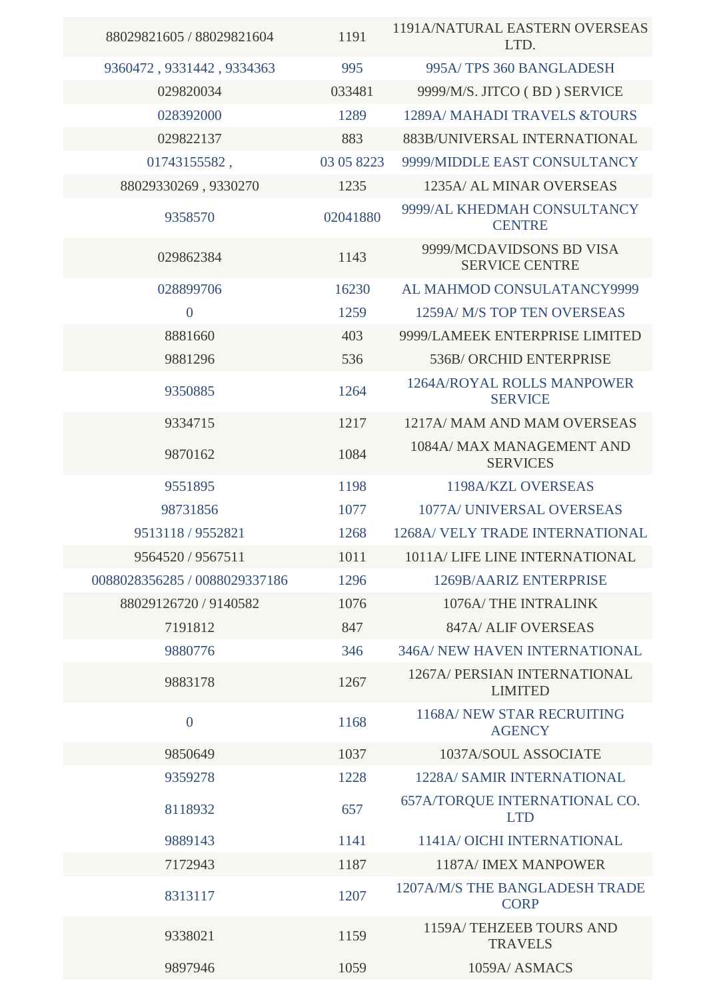| 88029821605 / 88029821604     | 1191       | 1191A/NATURAL EASTERN OVERSEAS<br>LTD.            |
|-------------------------------|------------|---------------------------------------------------|
| 9360472, 9331442, 9334363     | 995        | 995A/TPS 360 BANGLADESH                           |
| 029820034                     | 033481     | 9999/M/S. JITCO (BD) SERVICE                      |
| 028392000                     | 1289       | 1289A/ MAHADI TRAVELS &TOURS                      |
| 029822137                     | 883        | 883B/UNIVERSAL INTERNATIONAL                      |
| 01743155582,                  | 03 05 8223 | 9999/MIDDLE EAST CONSULTANCY                      |
| 88029330269, 9330270          | 1235       | 1235A/ AL MINAR OVERSEAS                          |
| 9358570                       | 02041880   | 9999/AL KHEDMAH CONSULTANCY<br><b>CENTRE</b>      |
| 029862384                     | 1143       | 9999/MCDAVIDSONS BD VISA<br><b>SERVICE CENTRE</b> |
| 028899706                     | 16230      | AL MAHMOD CONSULATANCY9999                        |
| $\overline{0}$                | 1259       | 1259A/ M/S TOP TEN OVERSEAS                       |
| 8881660                       | 403        | 9999/LAMEEK ENTERPRISE LIMITED                    |
| 9881296                       | 536        | 536B/ORCHID ENTERPRISE                            |
| 9350885                       | 1264       | 1264A/ROYAL ROLLS MANPOWER<br><b>SERVICE</b>      |
| 9334715                       | 1217       | 1217A/ MAM AND MAM OVERSEAS                       |
| 9870162                       | 1084       | 1084A/ MAX MANAGEMENT AND<br><b>SERVICES</b>      |
| 9551895                       | 1198       | 1198A/KZL OVERSEAS                                |
| 98731856                      | 1077       | 1077A/ UNIVERSAL OVERSEAS                         |
| 9513118 / 9552821             | 1268       | 1268A/ VELY TRADE INTERNATIONAL                   |
| 9564520 / 9567511             | 1011       | 1011A/LIFE LINE INTERNATIONAL                     |
| 0088028356285 / 0088029337186 | 1296       | 1269B/AARIZ ENTERPRISE                            |
| 88029126720 / 9140582         | 1076       | 1076A/THE INTRALINK                               |
| 7191812                       | 847        | 847A/ ALIF OVERSEAS                               |
| 9880776                       | 346        | 346A/ NEW HAVEN INTERNATIONAL                     |
| 9883178                       | 1267       | 1267A/ PERSIAN INTERNATIONAL<br><b>LIMITED</b>    |
| $\overline{0}$                | 1168       | 1168A/ NEW STAR RECRUITING<br><b>AGENCY</b>       |
| 9850649                       | 1037       | 1037A/SOUL ASSOCIATE                              |
| 9359278                       | 1228       | 1228A/ SAMIR INTERNATIONAL                        |
| 8118932                       | 657        | 657A/TORQUE INTERNATIONAL CO.<br><b>LTD</b>       |
| 9889143                       | 1141       | 1141A/ OICHI INTERNATIONAL                        |
| 7172943                       | 1187       | 1187A/ IMEX MANPOWER                              |
| 8313117                       | 1207       | 1207A/M/S THE BANGLADESH TRADE<br><b>CORP</b>     |
| 9338021                       | 1159       | 1159A/TEHZEEB TOURS AND<br><b>TRAVELS</b>         |
| 9897946                       | 1059       | 1059A/ ASMACS                                     |
|                               |            |                                                   |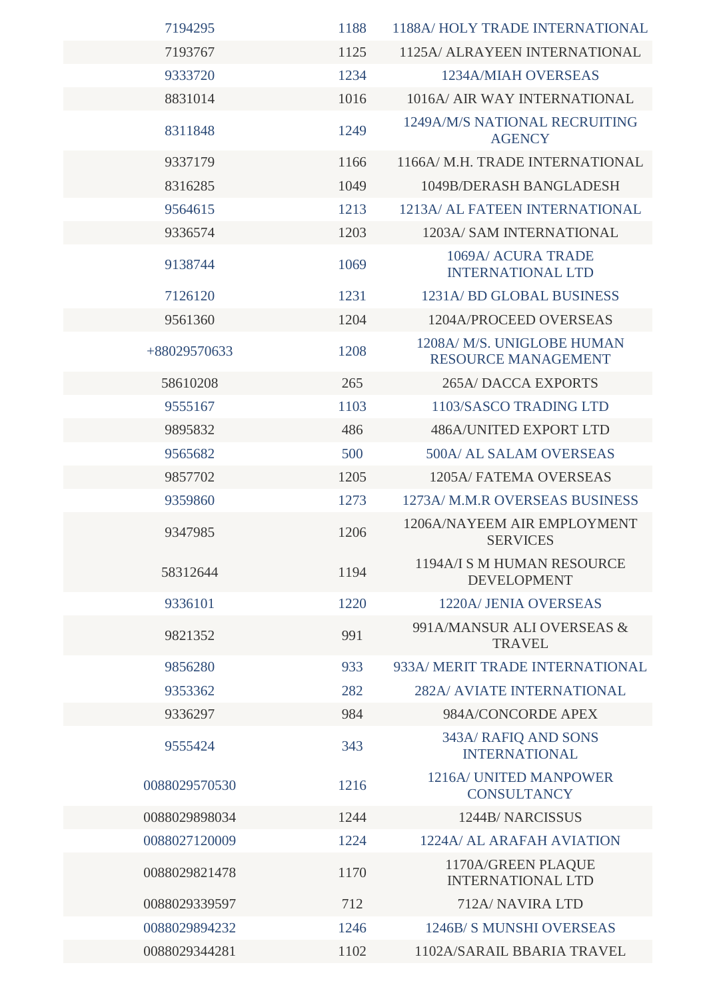| 7194295       | 1188 | 1188A/HOLY TRADE INTERNATIONAL                           |
|---------------|------|----------------------------------------------------------|
| 7193767       | 1125 | 1125A/ ALRAYEEN INTERNATIONAL                            |
| 9333720       | 1234 | <b>1234A/MIAH OVERSEAS</b>                               |
| 8831014       | 1016 | 1016A/ AIR WAY INTERNATIONAL                             |
| 8311848       | 1249 | 1249A/M/S NATIONAL RECRUITING<br><b>AGENCY</b>           |
| 9337179       | 1166 | 1166A/M.H. TRADE INTERNATIONAL                           |
| 8316285       | 1049 | 1049B/DERASH BANGLADESH                                  |
| 9564615       | 1213 | 1213A/ AL FATEEN INTERNATIONAL                           |
| 9336574       | 1203 | 1203A/ SAM INTERNATIONAL                                 |
| 9138744       | 1069 | 1069A/ ACURA TRADE<br><b>INTERNATIONAL LTD</b>           |
| 7126120       | 1231 | 1231A/BD GLOBAL BUSINESS                                 |
| 9561360       | 1204 | 1204A/PROCEED OVERSEAS                                   |
| +88029570633  | 1208 | 1208A/ M/S. UNIGLOBE HUMAN<br><b>RESOURCE MANAGEMENT</b> |
| 58610208      | 265  | <b>265A/ DACCA EXPORTS</b>                               |
| 9555167       | 1103 | 1103/SASCO TRADING LTD                                   |
| 9895832       | 486  | <b>486A/UNITED EXPORT LTD</b>                            |
| 9565682       | 500  | 500A/ AL SALAM OVERSEAS                                  |
| 9857702       | 1205 | 1205A/FATEMA OVERSEAS                                    |
| 9359860       | 1273 | 1273A/ M.M.R OVERSEAS BUSINESS                           |
| 9347985       | 1206 | 1206A/NAYEEM AIR EMPLOYMENT<br><b>SERVICES</b>           |
| 58312644      | 1194 | 1194A/I S M HUMAN RESOURCE<br><b>DEVELOPMENT</b>         |
| 9336101       | 1220 | 1220A/ JENIA OVERSEAS                                    |
| 9821352       | 991  | 991A/MANSUR ALI OVERSEAS &<br><b>TRAVEL</b>              |
| 9856280       | 933  | 933A/ MERIT TRADE INTERNATIONAL                          |
| 9353362       | 282  | <b>282A/ AVIATE INTERNATIONAL</b>                        |
| 9336297       | 984  | 984A/CONCORDE APEX                                       |
| 9555424       | 343  | 343A/ RAFIQ AND SONS<br><b>INTERNATIONAL</b>             |
| 0088029570530 | 1216 | 1216A/ UNITED MANPOWER<br><b>CONSULTANCY</b>             |
| 0088029898034 | 1244 | 1244B/NARCISSUS                                          |
| 0088027120009 | 1224 | 1224A/ AL ARAFAH AVIATION                                |
| 0088029821478 | 1170 | 1170A/GREEN PLAQUE<br><b>INTERNATIONAL LTD</b>           |
| 0088029339597 | 712  | 712A/ NAVIRA LTD                                         |
| 0088029894232 | 1246 | 1246B/S MUNSHI OVERSEAS                                  |
| 0088029344281 | 1102 | 1102A/SARAIL BBARIA TRAVEL                               |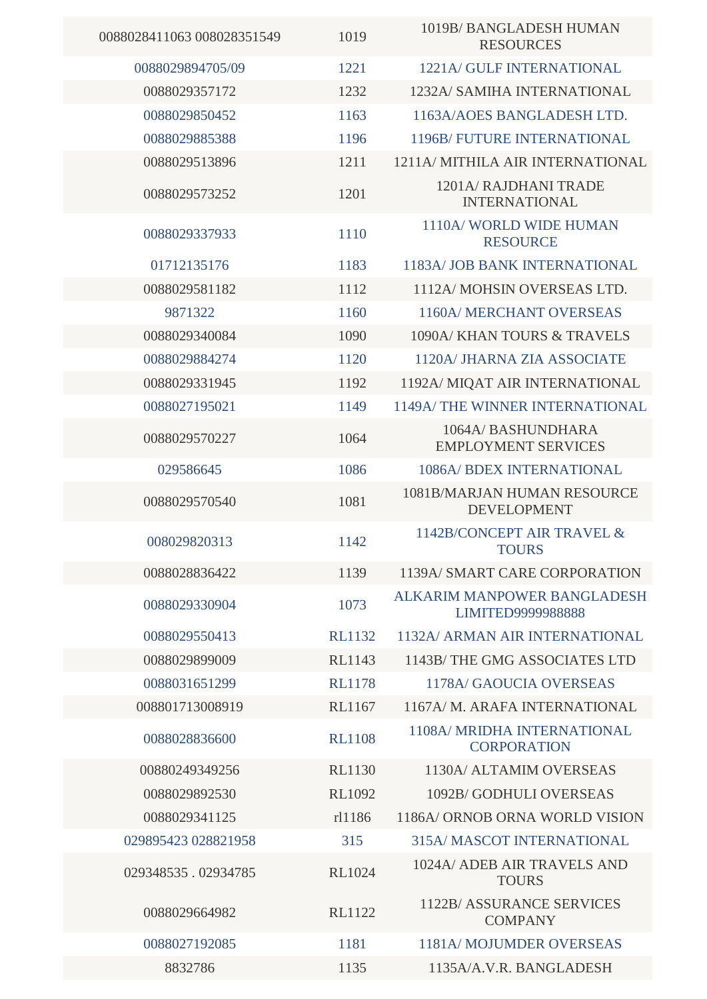| 0088028411063 008028351549 | 1019          | 1019B/BANGLADESH HUMAN<br><b>RESOURCES</b>              |
|----------------------------|---------------|---------------------------------------------------------|
| 0088029894705/09           | 1221          | 1221A/ GULF INTERNATIONAL                               |
| 0088029357172              | 1232          | 1232A/ SAMIHA INTERNATIONAL                             |
| 0088029850452              | 1163          | 1163A/AOES BANGLADESH LTD.                              |
| 0088029885388              | 1196          | 1196B/ FUTURE INTERNATIONAL                             |
| 0088029513896              | 1211          | 1211A/ MITHILA AIR INTERNATIONAL                        |
| 0088029573252              | 1201          | 1201A/ RAJDHANI TRADE<br><b>INTERNATIONAL</b>           |
| 0088029337933              | 1110          | 1110A/WORLD WIDE HUMAN<br><b>RESOURCE</b>               |
| 01712135176                | 1183          | <b>1183A/ JOB BANK INTERNATIONAL</b>                    |
| 0088029581182              | 1112          | 1112A/MOHSIN OVERSEAS LTD.                              |
| 9871322                    | 1160          | <b>1160A/ MERCHANT OVERSEAS</b>                         |
| 0088029340084              | 1090          | 1090A/KHAN TOURS & TRAVELS                              |
| 0088029884274              | 1120          | 1120A/ JHARNA ZIA ASSOCIATE                             |
| 0088029331945              | 1192          | 1192A/ MIQAT AIR INTERNATIONAL                          |
| 0088027195021              | 1149          | 1149A/THE WINNER INTERNATIONAL                          |
| 0088029570227              | 1064          | 1064A/BASHUNDHARA<br><b>EMPLOYMENT SERVICES</b>         |
| 029586645                  | 1086          | 1086A/ BDEX INTERNATIONAL                               |
| 0088029570540              | 1081          | 1081B/MARJAN HUMAN RESOURCE<br><b>DEVELOPMENT</b>       |
| 008029820313               | 1142          | 1142B/CONCEPT AIR TRAVEL &<br><b>TOURS</b>              |
| 0088028836422              | 1139          | 1139A/ SMART CARE CORPORATION                           |
| 0088029330904              | 1073          | <b>ALKARIM MANPOWER BANGLADESH</b><br>LIMITED9999988888 |
| 0088029550413              | <b>RL1132</b> | 1132A/ ARMAN AIR INTERNATIONAL                          |
| 0088029899009              | <b>RL1143</b> | 1143B/THE GMG ASSOCIATES LTD                            |
| 0088031651299              | <b>RL1178</b> | <b>1178A/ GAOUCIA OVERSEAS</b>                          |
| 008801713008919            | <b>RL1167</b> | 1167A/M. ARAFA INTERNATIONAL                            |
| 0088028836600              | <b>RL1108</b> | 1108A/ MRIDHA INTERNATIONAL<br><b>CORPORATION</b>       |
| 00880249349256             | <b>RL1130</b> | 1130A/ ALTAMIM OVERSEAS                                 |
| 0088029892530              | <b>RL1092</b> | 1092B/ GODHULI OVERSEAS                                 |
| 0088029341125              | rl1186        | 1186A/ ORNOB ORNA WORLD VISION                          |
| 029895423 028821958        | 315           | <b>315A/ MASCOT INTERNATIONAL</b>                       |
| 029348535.02934785         | <b>RL1024</b> | 1024A/ ADEB AIR TRAVELS AND<br><b>TOURS</b>             |
| 0088029664982              | <b>RL1122</b> | <b>1122B/ASSURANCE SERVICES</b><br><b>COMPANY</b>       |
| 0088027192085              | 1181          | 1181A/MOJUMDER OVERSEAS                                 |
| 8832786                    | 1135          | 1135A/A.V.R. BANGLADESH                                 |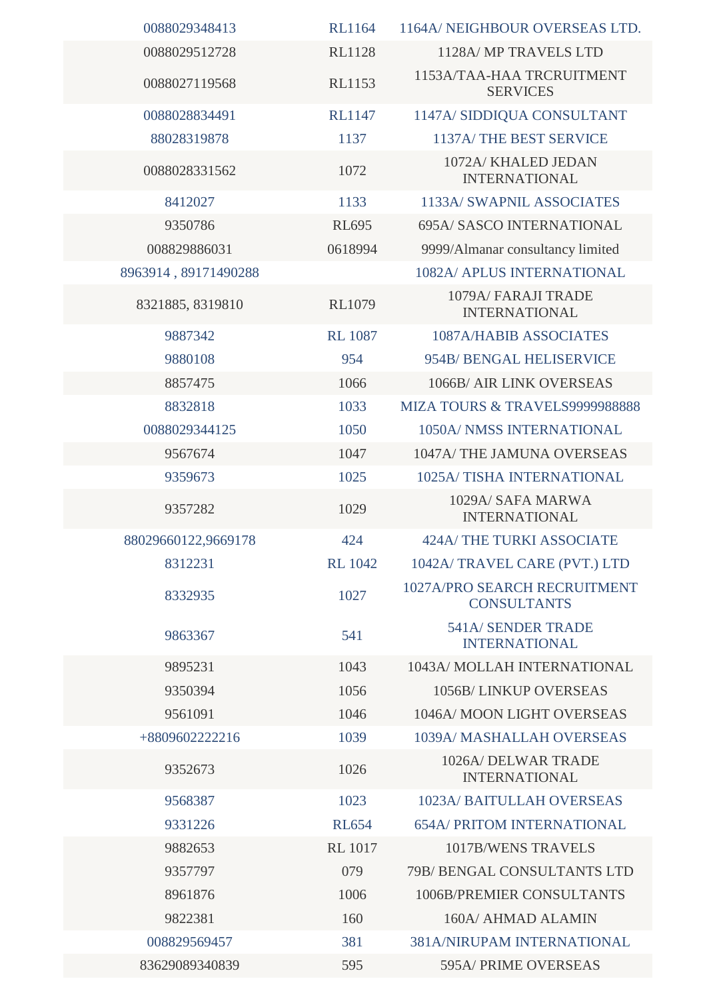| 0088029348413        | <b>RL1164</b>  | 1164A/ NEIGHBOUR OVERSEAS LTD.                     |
|----------------------|----------------|----------------------------------------------------|
| 0088029512728        | <b>RL1128</b>  | 1128A/ MP TRAVELS LTD                              |
| 0088027119568        | <b>RL1153</b>  | 1153A/TAA-HAA TRCRUITMENT<br><b>SERVICES</b>       |
| 0088028834491        | <b>RL1147</b>  | 1147A/ SIDDIQUA CONSULTANT                         |
| 88028319878          | 1137           | 1137A/THE BEST SERVICE                             |
| 0088028331562        | 1072           | 1072A/ KHALED JEDAN<br><b>INTERNATIONAL</b>        |
| 8412027              | 1133           | 1133A/ SWAPNIL ASSOCIATES                          |
| 9350786              | <b>RL695</b>   | 695A/ SASCO INTERNATIONAL                          |
| 008829886031         | 0618994        | 9999/Almanar consultancy limited                   |
| 8963914, 89171490288 |                | 1082A/ APLUS INTERNATIONAL                         |
| 8321885, 8319810     | <b>RL1079</b>  | 1079A/ FARAJI TRADE<br><b>INTERNATIONAL</b>        |
| 9887342              | <b>RL</b> 1087 | 1087A/HABIB ASSOCIATES                             |
| 9880108              | 954            | 954B/ BENGAL HELISERVICE                           |
| 8857475              | 1066           | 1066B/ AIR LINK OVERSEAS                           |
| 8832818              | 1033           | MIZA TOURS & TRAVELS9999988888                     |
| 0088029344125        | 1050           | 1050A/ NMSS INTERNATIONAL                          |
| 9567674              | 1047           | 1047A/THE JAMUNA OVERSEAS                          |
| 9359673              | 1025           | 1025A/TISHA INTERNATIONAL                          |
| 9357282              | 1029           | 1029A/ SAFA MARWA<br><b>INTERNATIONAL</b>          |
| 88029660122,9669178  | 424            | <b>424A/THE TURKI ASSOCIATE</b>                    |
| 8312231              | <b>RL</b> 1042 | 1042A/TRAVEL CARE (PVT.) LTD                       |
| 8332935              | 1027           | 1027A/PRO SEARCH RECRUITMENT<br><b>CONSULTANTS</b> |
| 9863367              | 541            | <b>541A/ SENDER TRADE</b><br><b>INTERNATIONAL</b>  |
| 9895231              | 1043           | 1043A/ MOLLAH INTERNATIONAL                        |
| 9350394              | 1056           | <b>1056B/LINKUP OVERSEAS</b>                       |
| 9561091              | 1046           | 1046A/MOON LIGHT OVERSEAS                          |
| +8809602222216       | 1039           | 1039A/ MASHALLAH OVERSEAS                          |
| 9352673              | 1026           | 1026A/ DELWAR TRADE<br><b>INTERNATIONAL</b>        |
| 9568387              | 1023           | <b>1023A/ BAITULLAH OVERSEAS</b>                   |
| 9331226              | <b>RL654</b>   | <b>654A/ PRITOM INTERNATIONAL</b>                  |
| 9882653              | <b>RL</b> 1017 | <b>1017B/WENS TRAVELS</b>                          |
| 9357797              | 079            | 79B/ BENGAL CONSULTANTS LTD                        |
| 8961876              | 1006           | 1006B/PREMIER CONSULTANTS                          |
| 9822381              | 160            | 160A/ AHMAD ALAMIN                                 |
| 008829569457         | 381            | 381A/NIRUPAM INTERNATIONAL                         |
| 83629089340839       | 595            | 595A/PRIME OVERSEAS                                |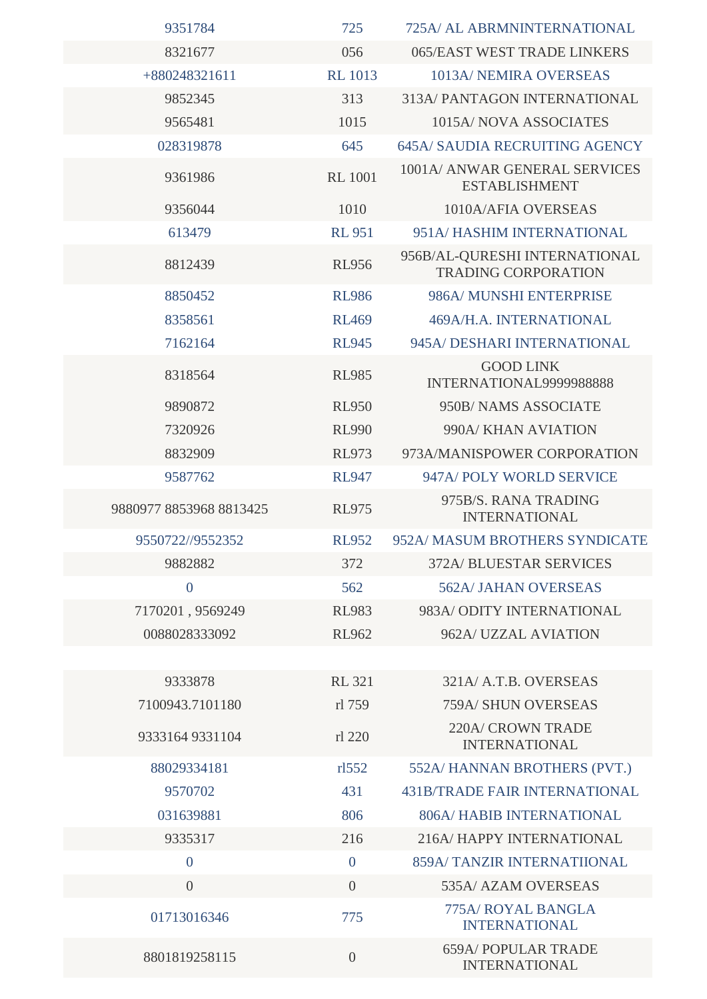| 9351784                 | 725            | 725A/ AL ABRMNINTERNATIONAL                                 |
|-------------------------|----------------|-------------------------------------------------------------|
| 8321677                 | 056            | 065/EAST WEST TRADE LINKERS                                 |
| +880248321611           | <b>RL</b> 1013 | 1013A/ NEMIRA OVERSEAS                                      |
| 9852345                 | 313            | <b>313A/ PANTAGON INTERNATIONAL</b>                         |
| 9565481                 | 1015           | 1015A/NOVA ASSOCIATES                                       |
| 028319878               | 645            | <b>645A/ SAUDIA RECRUITING AGENCY</b>                       |
| 9361986                 | <b>RL 1001</b> | 1001A/ ANWAR GENERAL SERVICES<br><b>ESTABLISHMENT</b>       |
| 9356044                 | 1010           | 1010A/AFIA OVERSEAS                                         |
| 613479                  | <b>RL 951</b>  | 951A/HASHIM INTERNATIONAL                                   |
| 8812439                 | <b>RL956</b>   | 956B/AL-QURESHI INTERNATIONAL<br><b>TRADING CORPORATION</b> |
| 8850452                 | <b>RL986</b>   | 986A/ MUNSHI ENTERPRISE                                     |
| 8358561                 | <b>RL469</b>   | 469A/H.A. INTERNATIONAL                                     |
| 7162164                 | <b>RL945</b>   | 945A/ DESHARI INTERNATIONAL                                 |
| 8318564                 | <b>RL985</b>   | <b>GOOD LINK</b><br>INTERNATIONAL9999988888                 |
| 9890872                 | <b>RL950</b>   | 950B/NAMS ASSOCIATE                                         |
| 7320926                 | <b>RL990</b>   | 990A/ KHAN AVIATION                                         |
| 8832909                 | <b>RL973</b>   | 973A/MANISPOWER CORPORATION                                 |
| 9587762                 | <b>RL947</b>   | 947A/POLY WORLD SERVICE                                     |
| 9880977 8853968 8813425 | <b>RL975</b>   | 975B/S. RANA TRADING<br><b>INTERNATIONAL</b>                |
| 9550722//9552352        | <b>RL952</b>   | 952A/ MASUM BROTHERS SYNDICATE                              |
| 9882882                 | 372            | <b>372A/ BLUESTAR SERVICES</b>                              |
| $\overline{0}$          | 562            | <b>562A/ JAHAN OVERSEAS</b>                                 |
| 7170201, 9569249        | <b>RL983</b>   | 983A/ODITY INTERNATIONAL                                    |
| 0088028333092           | <b>RL962</b>   | 962A/UZZAL AVIATION                                         |
|                         |                |                                                             |
| 9333878                 | <b>RL 321</b>  | 321A/ A.T.B. OVERSEAS                                       |
| 7100943.7101180         | rl 759         | 759A/ SHUN OVERSEAS                                         |
| 9333164 9331104         | rl 220         | <b>220A/ CROWN TRADE</b><br><b>INTERNATIONAL</b>            |
| 88029334181             | r1552          | 552A/ HANNAN BROTHERS (PVT.)                                |
| 9570702                 | 431            | <b>431B/TRADE FAIR INTERNATIONAL</b>                        |
| 031639881               | 806            | <b>806A/HABIB INTERNATIONAL</b>                             |
| 9335317                 | 216            | 216A/HAPPY INTERNATIONAL                                    |
| $\overline{0}$          | $\overline{0}$ | <b>859A/ TANZIR INTERNATIIONAL</b>                          |
| $\overline{0}$          | $\overline{0}$ | 535A/ AZAM OVERSEAS                                         |
| 01713016346             | 775            | 775A/ ROYAL BANGLA<br><b>INTERNATIONAL</b>                  |
| 8801819258115           | $\overline{0}$ | <b>659A/ POPULAR TRADE</b><br><b>INTERNATIONAL</b>          |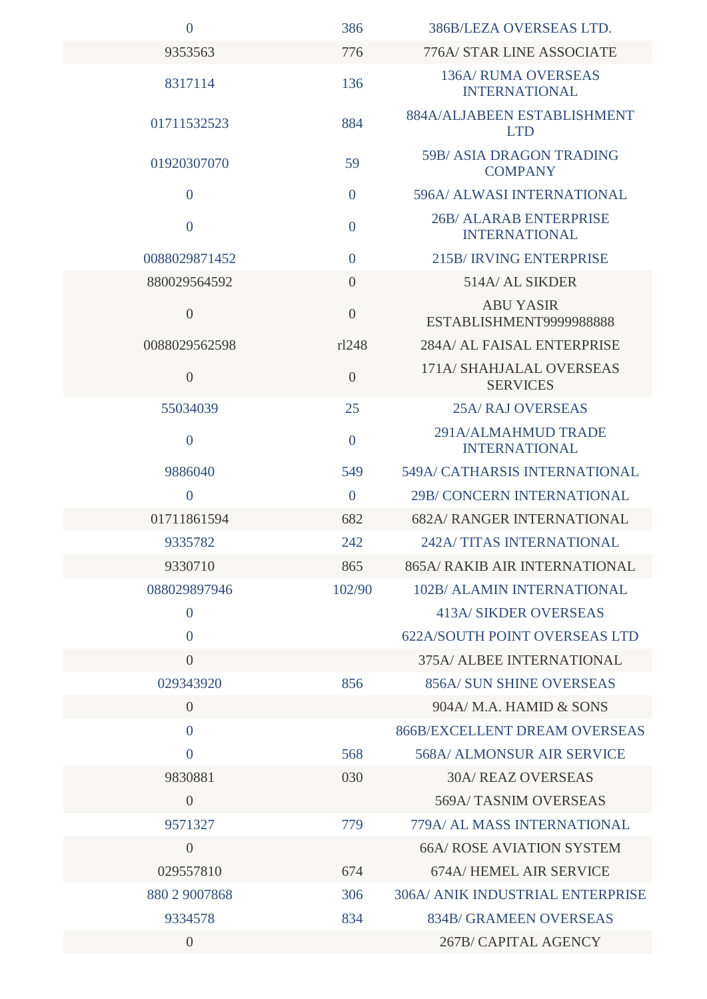| $\overline{0}$ | 386            | 386B/LEZA OVERSEAS LTD.                               |
|----------------|----------------|-------------------------------------------------------|
| 9353563        | 776            | 776A/ STAR LINE ASSOCIATE                             |
| 8317114        | 136            | <b>136A/ RUMA OVERSEAS</b><br><b>INTERNATIONAL</b>    |
| 01711532523    | 884            | 884A/ALJABEEN ESTABLISHMENT<br><b>LTD</b>             |
| 01920307070    | 59             | <b>59B/ASIA DRAGON TRADING</b><br><b>COMPANY</b>      |
| $\overline{0}$ | $\overline{0}$ | 596A/ ALWASI INTERNATIONAL                            |
| $\overline{0}$ | $\overline{0}$ | <b>26B/ ALARAB ENTERPRISE</b><br><b>INTERNATIONAL</b> |
| 0088029871452  | $\overline{0}$ | <b>215B/IRVING ENTERPRISE</b>                         |
| 880029564592   | $\overline{0}$ | 514A/ AL SIKDER                                       |
| $\theta$       | $\overline{0}$ | <b>ABU YASIR</b><br>ESTABLISHMENT9999988888           |
| 0088029562598  | r1248          | 284A/ AL FAISAL ENTERPRISE                            |
| $\overline{0}$ | $\overline{0}$ | 171A/ SHAHJALAL OVERSEAS<br><b>SERVICES</b>           |
| 55034039       | 25             | <b>25A/ RAJ OVERSEAS</b>                              |
| $\overline{0}$ | $\overline{0}$ | 291A/ALMAHMUD TRADE<br><b>INTERNATIONAL</b>           |
| 9886040        | 549            | <b>549A/ CATHARSIS INTERNATIONAL</b>                  |
| $\theta$       | $\overline{0}$ | 29B/CONCERN INTERNATIONAL                             |
| 01711861594    | 682            | <b>682A/ RANGER INTERNATIONAL</b>                     |
| 9335782        | 242            | 242A/TITAS INTERNATIONAL                              |
| 9330710        | 865            | <b>865A/ RAKIB AIR INTERNATIONAL</b>                  |
| 088029897946   | 102/90         | <b>102B/ ALAMIN INTERNATIONAL</b>                     |
| $\overline{0}$ |                | <b>413A/ SIKDER OVERSEAS</b>                          |
| $\overline{0}$ |                | <b>622A/SOUTH POINT OVERSEAS LTD</b>                  |
| $\overline{0}$ |                | 375A/ ALBEE INTERNATIONAL                             |
| 029343920      | 856            | <b>856A/ SUN SHINE OVERSEAS</b>                       |
| $\overline{0}$ |                | 904A/ M.A. HAMID & SONS                               |
| $\theta$       |                | <b>866B/EXCELLENT DREAM OVERSEAS</b>                  |
| $\overline{0}$ | 568            | <b>568A/ ALMONSUR AIR SERVICE</b>                     |
| 9830881        | 030            | <b>30A/ REAZ OVERSEAS</b>                             |
| $\overline{0}$ |                | 569A/TASNIM OVERSEAS                                  |
| 9571327        | 779            | 779A/ AL MASS INTERNATIONAL                           |
| $\overline{0}$ |                | <b>66A/ ROSE AVIATION SYSTEM</b>                      |
| 029557810      | 674            | 674A/HEMEL AIR SERVICE                                |
| 880 2 9007868  | 306            | <b>306A/ ANIK INDUSTRIAL ENTERPRISE</b>               |
| 9334578        | 834            | <b>834B/ GRAMEEN OVERSEAS</b>                         |
| $\overline{0}$ |                | 267B/ CAPITAL AGENCY                                  |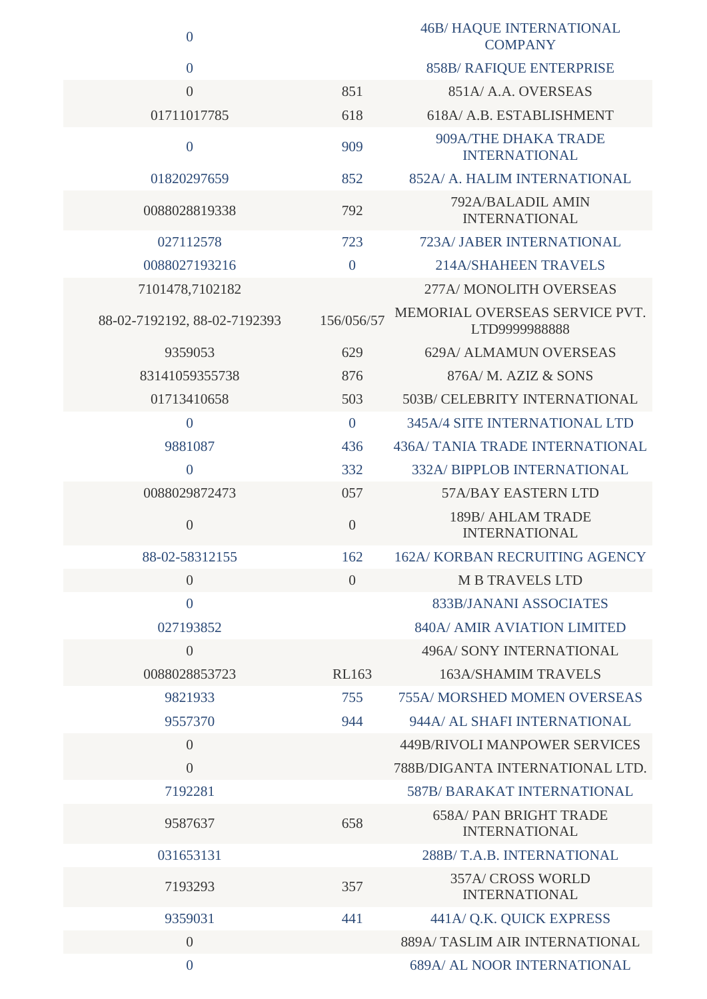| $\boldsymbol{0}$             |                | <b>46B/ HAQUE INTERNATIONAL</b><br><b>COMPANY</b>     |
|------------------------------|----------------|-------------------------------------------------------|
| $\overline{0}$               |                | 858B/ RAFIQUE ENTERPRISE                              |
| $\overline{0}$               | 851            | 851A/ A.A. OVERSEAS                                   |
| 01711017785                  | 618            | 618A/ A.B. ESTABLISHMENT                              |
| $\boldsymbol{0}$             | 909            | 909A/THE DHAKA TRADE<br><b>INTERNATIONAL</b>          |
| 01820297659                  | 852            | 852A/ A. HALIM INTERNATIONAL                          |
| 0088028819338                | 792            | 792A/BALADIL AMIN<br><b>INTERNATIONAL</b>             |
| 027112578                    | 723            | 723A/ JABER INTERNATIONAL                             |
| 0088027193216                | $\overline{0}$ | <b>214A/SHAHEEN TRAVELS</b>                           |
| 7101478,7102182              |                | 277A/ MONOLITH OVERSEAS                               |
| 88-02-7192192, 88-02-7192393 | 156/056/57     | MEMORIAL OVERSEAS SERVICE PVT.<br>LTD9999988888       |
| 9359053                      | 629            | 629A/ ALMAMUN OVERSEAS                                |
| 83141059355738               | 876            | 876A/M. AZIZ & SONS                                   |
| 01713410658                  | 503            | 503B/ CELEBRITY INTERNATIONAL                         |
| $\overline{0}$               | $\overline{0}$ | <b>345A/4 SITE INTERNATIONAL LTD</b>                  |
| 9881087                      | 436            | 436A/ TANIA TRADE INTERNATIONAL                       |
| $\overline{0}$               | 332            | <b>332A/ BIPPLOB INTERNATIONAL</b>                    |
| 0088029872473                | 057            | 57A/BAY EASTERN LTD                                   |
| $\theta$                     | $\overline{0}$ | 189B/ AHLAM TRADE<br><b>INTERNATIONAL</b>             |
| 88-02-58312155               | 162            | <b>162A/KORBAN RECRUITING AGENCY</b>                  |
| $\overline{0}$               | $\overline{0}$ | <b>M B TRAVELS LTD</b>                                |
| $\overline{0}$               |                | 833B/JANANI ASSOCIATES                                |
| 027193852                    |                | 840A/ AMIR AVIATION LIMITED                           |
| $\overline{0}$               |                | <b>496A/ SONY INTERNATIONAL</b>                       |
| 0088028853723                | <b>RL163</b>   | <b>163A/SHAMIM TRAVELS</b>                            |
| 9821933                      | 755            | <b>755A/ MORSHED MOMEN OVERSEAS</b>                   |
| 9557370                      | 944            | 944A/ AL SHAFI INTERNATIONAL                          |
| $\overline{0}$               |                | 449B/RIVOLI MANPOWER SERVICES                         |
| $\overline{0}$               |                | 788B/DIGANTA INTERNATIONAL LTD.                       |
| 7192281                      |                | <b>587B/ BARAKAT INTERNATIONAL</b>                    |
| 9587637                      | 658            | <b>658A/ PAN BRIGHT TRADE</b><br><b>INTERNATIONAL</b> |
| 031653131                    |                | 288B/T.A.B. INTERNATIONAL                             |
| 7193293                      | 357            | <b>357A/ CROSS WORLD</b><br><b>INTERNATIONAL</b>      |
| 9359031                      | 441            | 441A/ Q.K. QUICK EXPRESS                              |
| $\overline{0}$               |                | 889A/TASLIM AIR INTERNATIONAL                         |
| $\overline{0}$               |                | <b>689A/ AL NOOR INTERNATIONAL</b>                    |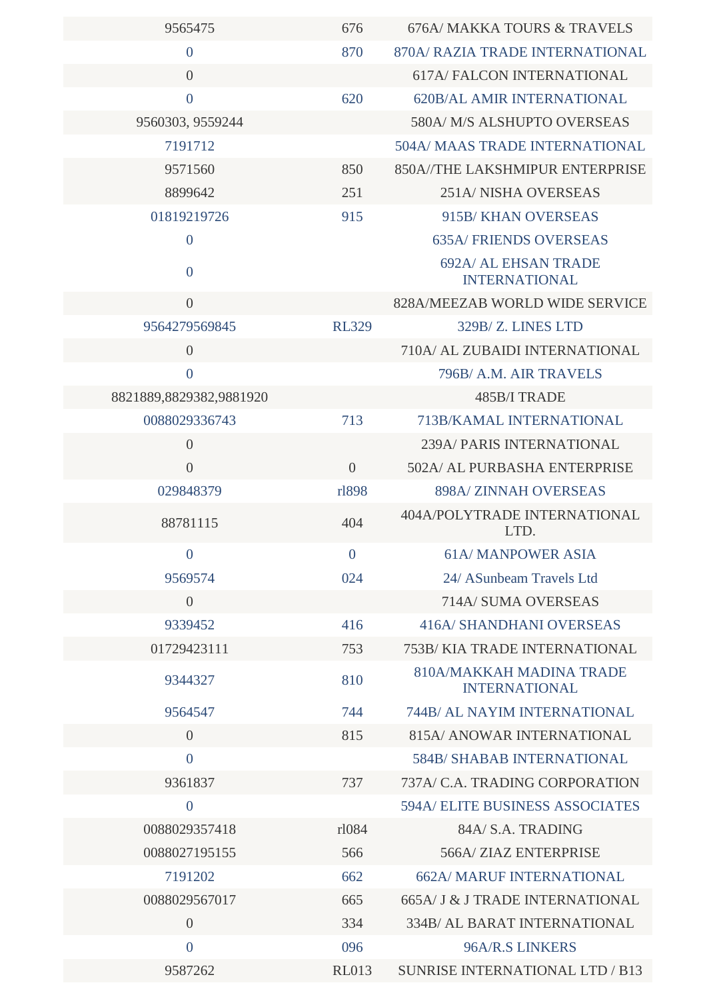| 9565475                 | 676            | 676A/ MAKKA TOURS & TRAVELS                             |
|-------------------------|----------------|---------------------------------------------------------|
| $\overline{0}$          | 870            | 870A/ RAZIA TRADE INTERNATIONAL                         |
| $\overline{0}$          |                | <b>617A/ FALCON INTERNATIONAL</b>                       |
| $\overline{0}$          | 620            | <b>620B/AL AMIR INTERNATIONAL</b>                       |
| 9560303, 9559244        |                | 580A/ M/S ALSHUPTO OVERSEAS                             |
| 7191712                 |                | <b>504A/ MAAS TRADE INTERNATIONAL</b>                   |
| 9571560                 | 850            | 850A//THE LAKSHMIPUR ENTERPRISE                         |
| 8899642                 | 251            | 251A/NISHA OVERSEAS                                     |
| 01819219726             | 915            | 915B/KHAN OVERSEAS                                      |
| $\overline{0}$          |                | <b>635A/FRIENDS OVERSEAS</b>                            |
| $\overline{0}$          |                | <b>692A/ AL EHSAN TRADE</b><br><b>INTERNATIONAL</b>     |
| $\overline{0}$          |                | 828A/MEEZAB WORLD WIDE SERVICE                          |
| 9564279569845           | <b>RL329</b>   | 329B/Z. LINES LTD                                       |
| $\overline{0}$          |                | 710A/ AL ZUBAIDI INTERNATIONAL                          |
| $\overline{0}$          |                | 796B/ A.M. AIR TRAVELS                                  |
| 8821889,8829382,9881920 |                | 485B/I TRADE                                            |
| 0088029336743           | 713            | 713B/KAMAL INTERNATIONAL                                |
| $\overline{0}$          |                | 239A/ PARIS INTERNATIONAL                               |
| $\overline{0}$          | $\overline{0}$ | 502A/ AL PURBASHA ENTERPRISE                            |
| 029848379               | rl898          | 898A/ZINNAH OVERSEAS                                    |
| 88781115                | 404            | 404A/POLYTRADE INTERNATIONAL<br>LTD.                    |
| $\overline{0}$          | $\overline{0}$ | <b>61A/MANPOWER ASIA</b>                                |
| 9569574                 | 024            | 24/ ASunbeam Travels Ltd                                |
| $\overline{0}$          |                | 714A/ SUMA OVERSEAS                                     |
| 9339452                 | 416            | <b>416A/ SHANDHANI OVERSEAS</b>                         |
| 01729423111             | 753            | 753B/KIA TRADE INTERNATIONAL                            |
| 9344327                 | 810            | <b>810A/MAKKAH MADINA TRADE</b><br><b>INTERNATIONAL</b> |
| 9564547                 | 744            | 744B/ AL NAYIM INTERNATIONAL                            |
| $\overline{0}$          | 815            | 815A/ ANOWAR INTERNATIONAL                              |
| $\overline{0}$          |                | <b>584B/ SHABAB INTERNATIONAL</b>                       |
| 9361837                 | 737            | 737A/C.A. TRADING CORPORATION                           |
| $\overline{0}$          |                | <b>594A/ELITE BUSINESS ASSOCIATES</b>                   |
| 0088029357418           | rl084          | 84A/ S.A. TRADING                                       |
| 0088027195155           | 566            | 566A/ZIAZ ENTERPRISE                                    |
| 7191202                 | 662            | <b>662A/ MARUF INTERNATIONAL</b>                        |
| 0088029567017           | 665            | 665A/ J & J TRADE INTERNATIONAL                         |
| $\overline{0}$          | 334            | <b>334B/ AL BARAT INTERNATIONAL</b>                     |
| $\overline{0}$          | 096            | 96A/R.S LINKERS                                         |
| 9587262                 | <b>RL013</b>   | <b>SUNRISE INTERNATIONAL LTD / B13</b>                  |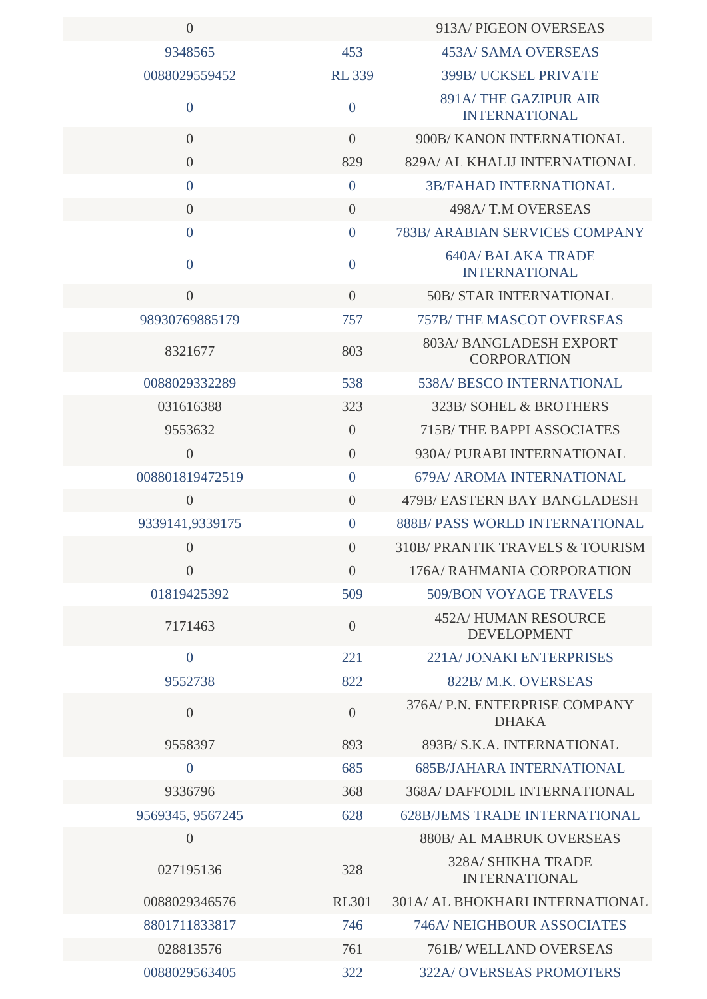| $\overline{0}$   |                | 913A/ PIGEON OVERSEAS                             |
|------------------|----------------|---------------------------------------------------|
| 9348565          | 453            | 453A/ SAMA OVERSEAS                               |
| 0088029559452    | <b>RL339</b>   | 399B/ UCKSEL PRIVATE                              |
| $\boldsymbol{0}$ | $\overline{0}$ | 891A/THE GAZIPUR AIR<br><b>INTERNATIONAL</b>      |
| $\overline{0}$   | $\overline{0}$ | 900B/KANON INTERNATIONAL                          |
| $\overline{0}$   | 829            | 829A/ AL KHALIJ INTERNATIONAL                     |
| $\overline{0}$   | $\overline{0}$ | <b>3B/FAHAD INTERNATIONAL</b>                     |
| $\overline{0}$   | $\overline{0}$ | 498A/T.M OVERSEAS                                 |
| $\overline{0}$   | $\overline{0}$ | 783B/ ARABIAN SERVICES COMPANY                    |
| $\overline{0}$   | $\overline{0}$ | <b>640A/ BALAKA TRADE</b><br><b>INTERNATIONAL</b> |
| $\overline{0}$   | $\overline{0}$ | <b>50B/ STAR INTERNATIONAL</b>                    |
| 98930769885179   | 757            | <b>757B/THE MASCOT OVERSEAS</b>                   |
| 8321677          | 803            | 803A/BANGLADESH EXPORT<br><b>CORPORATION</b>      |
| 0088029332289    | 538            | 538A/ BESCO INTERNATIONAL                         |
| 031616388        | 323            | 323B/SOHEL & BROTHERS                             |
| 9553632          | $\overline{0}$ | 715B/THE BAPPI ASSOCIATES                         |
| $\overline{0}$   | $\overline{0}$ | 930A/ PURABI INTERNATIONAL                        |
| 008801819472519  | $\overline{0}$ | 679A/ AROMA INTERNATIONAL                         |
| $\theta$         | $\overline{0}$ | 479B/ EASTERN BAY BANGLADESH                      |
| 9339141,9339175  | $\overline{0}$ | <b>888B/ PASS WORLD INTERNATIONAL</b>             |
| $\overline{0}$   | $\overline{0}$ | 310B/ PRANTIK TRAVELS & TOURISM                   |
| $\overline{0}$   | $\overline{0}$ | 176A/ RAHMANIA CORPORATION                        |
| 01819425392      | 509            | <b>509/BON VOYAGE TRAVELS</b>                     |
| 7171463          | $\overline{0}$ | <b>452A/HUMAN RESOURCE</b><br><b>DEVELOPMENT</b>  |
| $\overline{0}$   | 221            | 221A/JONAKI ENTERPRISES                           |
| 9552738          | 822            | 822B/M.K. OVERSEAS                                |
| $\overline{0}$   | $\overline{0}$ | 376A/ P.N. ENTERPRISE COMPANY<br><b>DHAKA</b>     |
| 9558397          | 893            | 893B/ S.K.A. INTERNATIONAL                        |
| $\boldsymbol{0}$ | 685            | <b>685B/JAHARA INTERNATIONAL</b>                  |
| 9336796          | 368            | <b>368A/ DAFFODIL INTERNATIONAL</b>               |
| 9569345, 9567245 | 628            | <b>628B/JEMS TRADE INTERNATIONAL</b>              |
| $\overline{0}$   |                | 880B/ AL MABRUK OVERSEAS                          |
| 027195136        | 328            | <b>328A/ SHIKHA TRADE</b><br><b>INTERNATIONAL</b> |
| 0088029346576    | <b>RL301</b>   | 301A/ AL BHOKHARI INTERNATIONAL                   |
| 8801711833817    | 746            | <b>746A/ NEIGHBOUR ASSOCIATES</b>                 |
| 028813576        | 761            | 761B/WELLAND OVERSEAS                             |
| 0088029563405    | 322            | <b>322A/ OVERSEAS PROMOTERS</b>                   |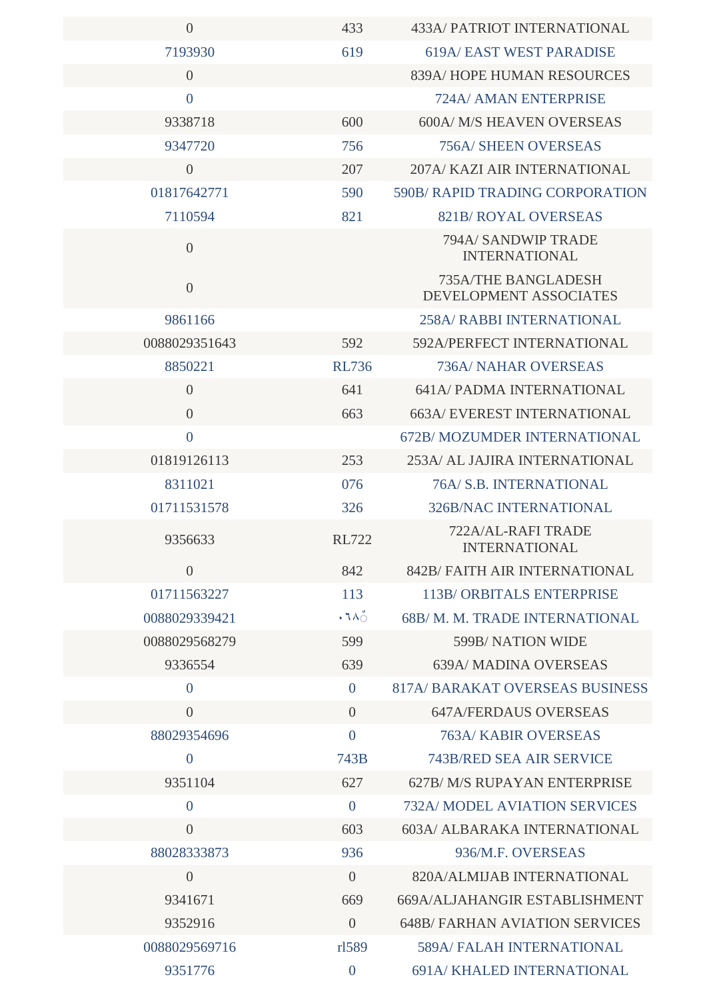| $\overline{0}$ | 433            | 433A/ PATRIOT INTERNATIONAL                          |
|----------------|----------------|------------------------------------------------------|
| 7193930        | 619            | <b>619A/ EAST WEST PARADISE</b>                      |
| $\overline{0}$ |                | 839A/HOPE HUMAN RESOURCES                            |
| $\overline{0}$ |                | 724A/ AMAN ENTERPRISE                                |
| 9338718        | 600            | 600A/ M/S HEAVEN OVERSEAS                            |
| 9347720        | 756            | <b>756A/ SHEEN OVERSEAS</b>                          |
| $\overline{0}$ | 207            | 207A/KAZI AIR INTERNATIONAL                          |
| 01817642771    | 590            | 590B/RAPID TRADING CORPORATION                       |
| 7110594        | 821            | <b>821B/ ROYAL OVERSEAS</b>                          |
| $\overline{0}$ |                | 794A/ SANDWIP TRADE<br><b>INTERNATIONAL</b>          |
| $\overline{0}$ |                | <b>735A/THE BANGLADESH</b><br>DEVELOPMENT ASSOCIATES |
| 9861166        |                | <b>258A/ RABBI INTERNATIONAL</b>                     |
| 0088029351643  | 592            | 592A/PERFECT INTERNATIONAL                           |
| 8850221        | <b>RL736</b>   | <b>736A/ NAHAR OVERSEAS</b>                          |
| $\overline{0}$ | 641            | <b>641A/ PADMA INTERNATIONAL</b>                     |
| $\overline{0}$ | 663            | <b>663A/ EVEREST INTERNATIONAL</b>                   |
| $\overline{0}$ |                | <b>672B/ MOZUMDER INTERNATIONAL</b>                  |
| 01819126113    | 253            | 253A/ AL JAJIRA INTERNATIONAL                        |
| 8311021        | 076            | 76A/ S.B. INTERNATIONAL                              |
| 01711531578    | 326            | <b>326B/NAC INTERNATIONAL</b>                        |
| 9356633        | <b>RL722</b>   | 722A/AL-RAFI TRADE<br>INTERNATIONAL                  |
| $\overline{0}$ | 842            | 842B/ FAITH AIR INTERNATIONAL                        |
| 01711563227    | 113            | <b>113B/ORBITALS ENTERPRISE</b>                      |
| 0088029339421  | $\cdot$ ٦٨٥    | 68B/M.M. TRADE INTERNATIONAL                         |
| 0088029568279  | 599            | 599B/NATION WIDE                                     |
| 9336554        | 639            | <b>639A/ MADINA OVERSEAS</b>                         |
| $\overline{0}$ | $\overline{0}$ | <b>817A/ BARAKAT OVERSEAS BUSINESS</b>               |
| $\overline{0}$ | $\overline{0}$ | <b>647A/FERDAUS OVERSEAS</b>                         |
| 88029354696    | $\overline{0}$ | <b>763A/ KABIR OVERSEAS</b>                          |
| $\overline{0}$ | 743B           | <b>743B/RED SEA AIR SERVICE</b>                      |
| 9351104        | 627            | 627B/M/S RUPAYAN ENTERPRISE                          |
| $\overline{0}$ | $\overline{0}$ | <b>732A/ MODEL AVIATION SERVICES</b>                 |
| $\overline{0}$ | 603            | 603A/ ALBARAKA INTERNATIONAL                         |
| 88028333873    | 936            | 936/M.F. OVERSEAS                                    |
| $\overline{0}$ | $\overline{0}$ | 820A/ALMIJAB INTERNATIONAL                           |
| 9341671        | 669            | 669A/ALJAHANGIR ESTABLISHMENT                        |
| 9352916        | $\overline{0}$ | <b>648B/ FARHAN AVIATION SERVICES</b>                |
| 0088029569716  | rl589          | <b>589A/ FALAH INTERNATIONAL</b>                     |
| 9351776        | $\overline{0}$ | 691A/KHALED INTERNATIONAL                            |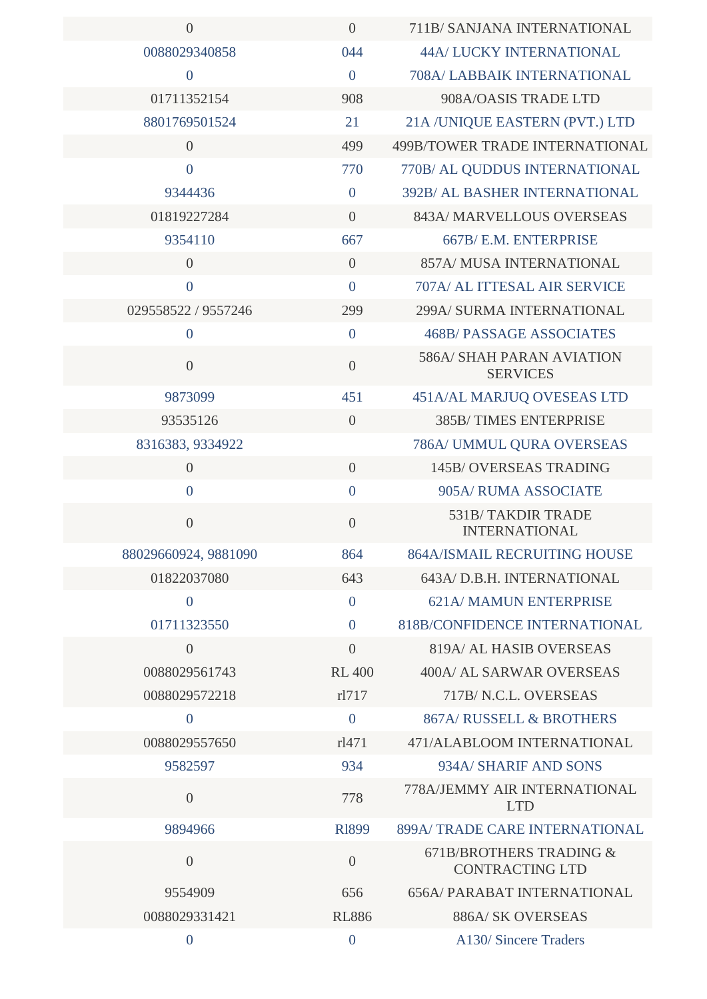| $\overline{0}$       | $\overline{0}$   | 711B/ SANJANA INTERNATIONAL                         |
|----------------------|------------------|-----------------------------------------------------|
| 0088029340858        | 044              | <b>44A/ LUCKY INTERNATIONAL</b>                     |
| $\overline{0}$       | $\overline{0}$   | 708A/ LABBAIK INTERNATIONAL                         |
| 01711352154          | 908              | 908A/OASIS TRADE LTD                                |
| 8801769501524        | 21               | 21A /UNIQUE EASTERN (PVT.) LTD                      |
| $\overline{0}$       | 499              | 499B/TOWER TRADE INTERNATIONAL                      |
| $\overline{0}$       | 770              | 770B/ AL QUDDUS INTERNATIONAL                       |
| 9344436              | $\overline{0}$   | <b>392B/ AL BASHER INTERNATIONAL</b>                |
| 01819227284          | $\overline{0}$   | 843A/ MARVELLOUS OVERSEAS                           |
| 9354110              | 667              | 667B/ E.M. ENTERPRISE                               |
| $\overline{0}$       | $\overline{0}$   | 857A/ MUSA INTERNATIONAL                            |
| $\overline{0}$       | $\overline{0}$   | 707A/ AL ITTESAL AIR SERVICE                        |
| 029558522 / 9557246  | 299              | 299A/ SURMA INTERNATIONAL                           |
| $\mathbf{0}$         | $\overline{0}$   | <b>468B/ PASSAGE ASSOCIATES</b>                     |
| $\overline{0}$       | $\overline{0}$   | <b>586A/ SHAH PARAN AVIATION</b><br><b>SERVICES</b> |
| 9873099              | 451              | 451A/AL MARJUQ OVESEAS LTD                          |
| 93535126             | $\overline{0}$   | 385B/TIMES ENTERPRISE                               |
| 8316383, 9334922     |                  | 786A/ UMMUL QURA OVERSEAS                           |
| $\overline{0}$       | $\overline{0}$   | <b>145B/ OVERSEAS TRADING</b>                       |
| $\overline{0}$       | $\overline{0}$   | 905A/ RUMA ASSOCIATE                                |
| $\overline{0}$       | $\overline{0}$   | <b>531B/TAKDIR TRADE</b><br><b>INTERNATIONAL</b>    |
| 88029660924, 9881090 | 864              | <b>864A/ISMAIL RECRUITING HOUSE</b>                 |
| 01822037080          | 643              | 643A/D.B.H. INTERNATIONAL                           |
| $\overline{0}$       | $\overline{0}$   | 621A/MAMUN ENTERPRISE                               |
| 01711323550          | $\theta$         | 818B/CONFIDENCE INTERNATIONAL                       |
| $\overline{0}$       | $\overline{0}$   | <b>819A/ AL HASIB OVERSEAS</b>                      |
| 0088029561743        | <b>RL 400</b>    | 400A/ AL SARWAR OVERSEAS                            |
| 0088029572218        | rl717            | 717B/N.C.L. OVERSEAS                                |
| $\overline{0}$       | $\overline{0}$   | <b>867A/ RUSSELL &amp; BROTHERS</b>                 |
| 0088029557650        | rl471            | 471/ALABLOOM INTERNATIONAL                          |
| 9582597              | 934              | 934A/ SHARIF AND SONS                               |
| $\overline{0}$       | 778              | 778A/JEMMY AIR INTERNATIONAL<br><b>LTD</b>          |
| 9894966              | <b>R1899</b>     | 899A/TRADE CARE INTERNATIONAL                       |
| $\theta$             | $\overline{0}$   | 671B/BROTHERS TRADING &<br><b>CONTRACTING LTD</b>   |
| 9554909              | 656              | <b>656A/ PARABAT INTERNATIONAL</b>                  |
| 0088029331421        | <b>RL886</b>     | <b>886A/ SK OVERSEAS</b>                            |
| $\boldsymbol{0}$     | $\boldsymbol{0}$ | A130/Sincere Traders                                |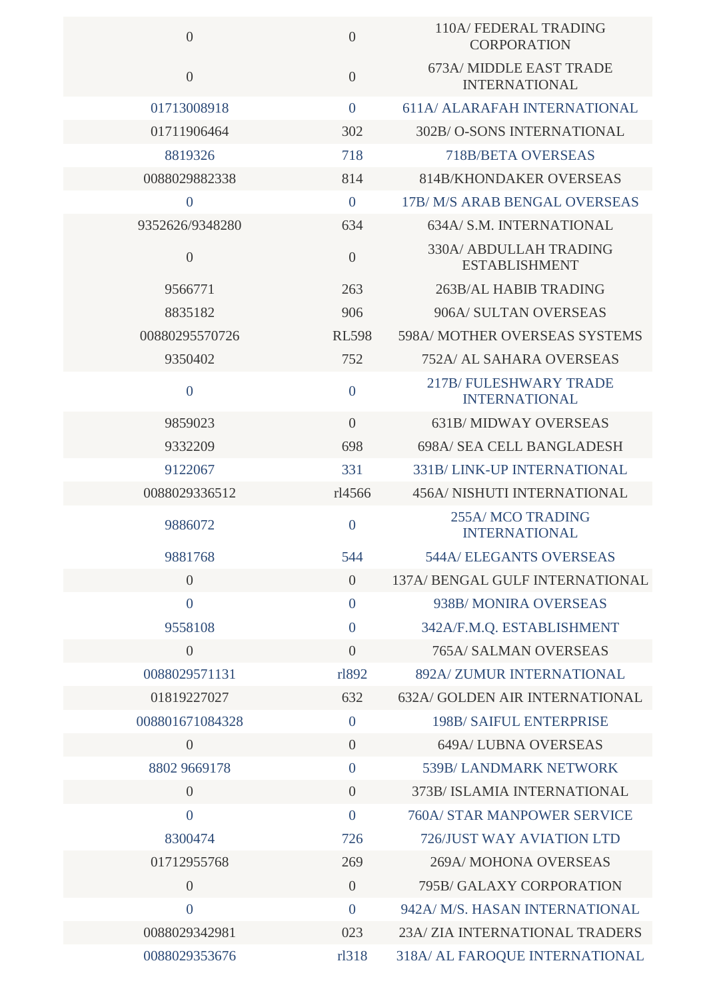| $\overline{0}$  | $\overline{0}$ | 110A/ FEDERAL TRADING<br><b>CORPORATION</b>           |
|-----------------|----------------|-------------------------------------------------------|
| $\overline{0}$  | $\overline{0}$ | 673A/MIDDLE EAST TRADE<br><b>INTERNATIONAL</b>        |
| 01713008918     | $\mathbf{0}$   | <b>611A/ ALARAFAH INTERNATIONAL</b>                   |
| 01711906464     | 302            | 302B/O-SONS INTERNATIONAL                             |
| 8819326         | 718            | <b>718B/BETA OVERSEAS</b>                             |
| 0088029882338   | 814            | <b>814B/KHONDAKER OVERSEAS</b>                        |
| $\mathbf{0}$    | $\mathbf{0}$   | 17B/M/S ARAB BENGAL OVERSEAS                          |
| 9352626/9348280 | 634            | 634A/ S.M. INTERNATIONAL                              |
| $\overline{0}$  | $\overline{0}$ | <b>330A/ ABDULLAH TRADING</b><br><b>ESTABLISHMENT</b> |
| 9566771         | 263            | 263B/AL HABIB TRADING                                 |
| 8835182         | 906            | 906A/ SULTAN OVERSEAS                                 |
| 00880295570726  | <b>RL598</b>   | <b>598A/ MOTHER OVERSEAS SYSTEMS</b>                  |
| 9350402         | 752            | <b>752A/ AL SAHARA OVERSEAS</b>                       |
| $\overline{0}$  | $\overline{0}$ | <b>217B/FULESHWARY TRADE</b><br><b>INTERNATIONAL</b>  |
| 9859023         | $\overline{0}$ | <b>631B/MIDWAY OVERSEAS</b>                           |
| 9332209         | 698            | <b>698A/ SEA CELL BANGLADESH</b>                      |
| 9122067         | 331            | 331B/LINK-UP INTERNATIONAL                            |
| 0088029336512   | rl4566         | <b>456A/ NISHUTI INTERNATIONAL</b>                    |
| 9886072         | $\overline{0}$ | <b>255A/MCO TRADING</b><br><b>INTERNATIONAL</b>       |
| 9881768         | 544            | <b>544A/ELEGANTS OVERSEAS</b>                         |
| $\overline{0}$  | $\overline{0}$ | 137A/ BENGAL GULF INTERNATIONAL                       |
| $\overline{0}$  | $\mathbf{0}$   | 938B/MONIRA OVERSEAS                                  |
| 9558108         | $\mathbf{0}$   | 342A/F.M.Q. ESTABLISHMENT                             |
| $\overline{0}$  | $\overline{0}$ | <b>765A/ SALMAN OVERSEAS</b>                          |
| 0088029571131   | rl892          | 892A/ZUMUR INTERNATIONAL                              |
| 01819227027     | 632            | 632A/ GOLDEN AIR INTERNATIONAL                        |
| 008801671084328 | $\overline{0}$ | <b>198B/ SAIFUL ENTERPRISE</b>                        |
| $\overline{0}$  | $\overline{0}$ | <b>649A/LUBNA OVERSEAS</b>                            |
| 8802 9669178    | $\overline{0}$ | 539B/ LANDMARK NETWORK                                |
| $\overline{0}$  | $\overline{0}$ | 373B/ ISLAMIA INTERNATIONAL                           |
| $\overline{0}$  | $\overline{0}$ | <b>760A/ STAR MANPOWER SERVICE</b>                    |
| 8300474         | 726            | 726/JUST WAY AVIATION LTD                             |
| 01712955768     | 269            | 269A/MOHONA OVERSEAS                                  |
| $\overline{0}$  | $\overline{0}$ | 795B/ GALAXY CORPORATION                              |
| $\overline{0}$  | $\mathbf{0}$   | 942A/ M/S. HASAN INTERNATIONAL                        |
| 0088029342981   | 023            | 23A/ ZIA INTERNATIONAL TRADERS                        |
| 0088029353676   | rl318          | 318A/ AL FAROQUE INTERNATIONAL                        |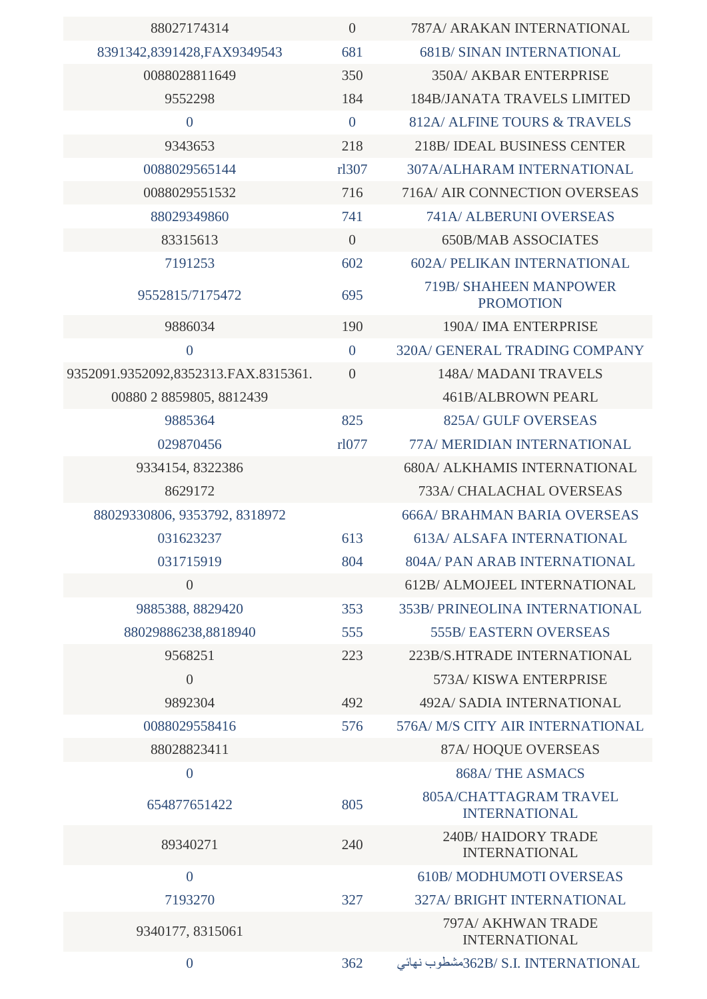| 88027174314                          | $\overline{0}$ | 787A/ ARAKAN INTERNATIONAL                        |
|--------------------------------------|----------------|---------------------------------------------------|
| 8391342,8391428,FAX9349543           | 681            | <b>681B/ SINAN INTERNATIONAL</b>                  |
| 0088028811649                        | 350            | <b>350A/ AKBAR ENTERPRISE</b>                     |
| 9552298                              | 184            | <b>184B/JANATA TRAVELS LIMITED</b>                |
| $\overline{0}$                       | $\overline{0}$ | 812A/ ALFINE TOURS & TRAVELS                      |
| 9343653                              | 218            | 218B/IDEAL BUSINESS CENTER                        |
| 0088029565144                        | rl307          | 307A/ALHARAM INTERNATIONAL                        |
| 0088029551532                        | 716            | 716A/ AIR CONNECTION OVERSEAS                     |
| 88029349860                          | 741            | 741A/ ALBERUNI OVERSEAS                           |
| 83315613                             | $\overline{0}$ | <b>650B/MAB ASSOCIATES</b>                        |
| 7191253                              | 602            | <b>602A/ PELIKAN INTERNATIONAL</b>                |
| 9552815/7175472                      | 695            | <b>719B/ SHAHEEN MANPOWER</b><br><b>PROMOTION</b> |
| 9886034                              | 190            | 190A/ IMA ENTERPRISE                              |
| $\overline{0}$                       | $\overline{0}$ | 320A/ GENERAL TRADING COMPANY                     |
| 9352091.9352092,8352313.FAX.8315361. | $\theta$       | 148A/ MADANI TRAVELS                              |
| 00880 2 8859805, 8812439             |                | <b>461B/ALBROWN PEARL</b>                         |
| 9885364                              | 825            | 825A/ GULF OVERSEAS                               |
| 029870456                            | rl077          | 77A/ MERIDIAN INTERNATIONAL                       |
| 9334154, 8322386                     |                | <b>680A/ ALKHAMIS INTERNATIONAL</b>               |
| 8629172                              |                | <b>733A/ CHALACHAL OVERSEAS</b>                   |
| 88029330806, 9353792, 8318972        |                | <b>666A/ BRAHMAN BARIA OVERSEAS</b>               |
| 031623237                            | 613            | <b>613A/ ALSAFA INTERNATIONAL</b>                 |
| 031715919                            | 804            | 804A/ PAN ARAB INTERNATIONAL                      |
| $\overline{0}$                       |                | 612B/ ALMOJEEL INTERNATIONAL                      |
| 9885388, 8829420                     | 353            | 353B/ PRINEOLINA INTERNATIONAL                    |
| 88029886238,8818940                  | 555            | <b>555B/ EASTERN OVERSEAS</b>                     |
| 9568251                              | 223            | 223B/S.HTRADE INTERNATIONAL                       |
| $\theta$                             |                | 573A/KISWA ENTERPRISE                             |
| 9892304                              | 492            | <b>492A/ SADIA INTERNATIONAL</b>                  |
| 0088029558416                        | 576            | 576A/ M/S CITY AIR INTERNATIONAL                  |
| 88028823411                          |                | 87A/HOQUE OVERSEAS                                |
| $\boldsymbol{0}$                     |                | <b>868A/THE ASMACS</b>                            |
| 654877651422                         | 805            | 805A/CHATTAGRAM TRAVEL<br><b>INTERNATIONAL</b>    |
| 89340271                             | 240            | <b>240B/HAIDORY TRADE</b><br><b>INTERNATIONAL</b> |
| $\overline{0}$                       |                | <b>610B/MODHUMOTI OVERSEAS</b>                    |
| 7193270                              | 327            | 327A/ BRIGHT INTERNATIONAL                        |
| 9340177, 8315061                     |                | 797A/ AKHWAN TRADE<br><b>INTERNATIONAL</b>        |
| $\boldsymbol{0}$                     | 362            | 362B/ S.I. INTERNATIONALشطوب نهائي                |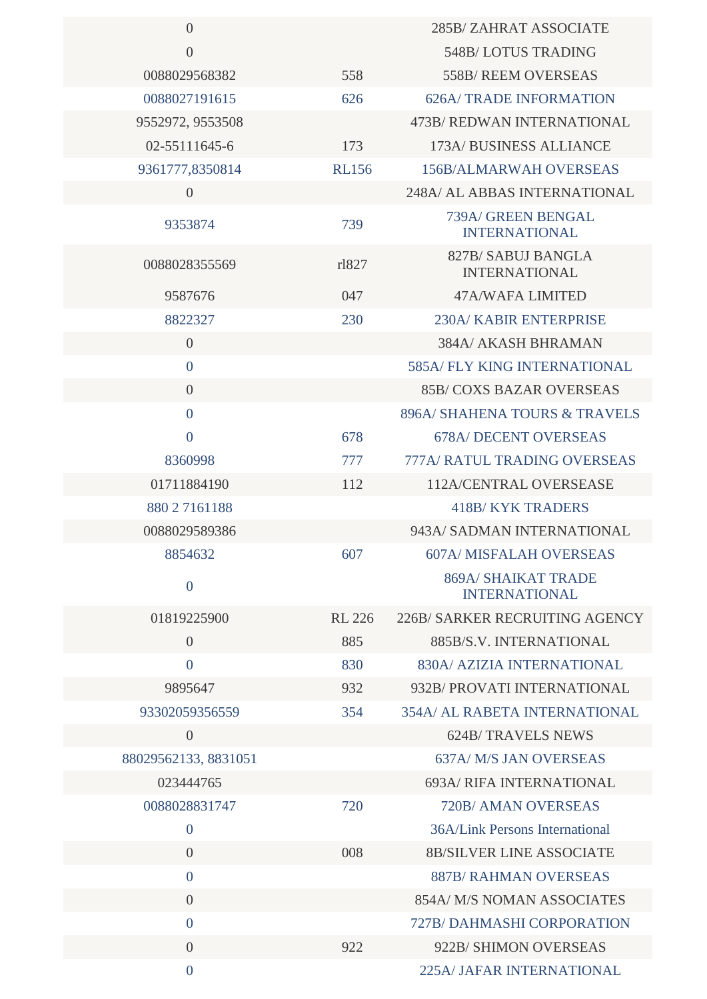| $\overline{0}$       |               | 285B/ZAHRAT ASSOCIATE                              |
|----------------------|---------------|----------------------------------------------------|
| $\theta$             |               | 548B/LOTUS TRADING                                 |
| 0088029568382        | 558           | 558B/ REEM OVERSEAS                                |
| 0088027191615        | 626           | <b>626A/TRADE INFORMATION</b>                      |
| 9552972, 9553508     |               | 473B/ REDWAN INTERNATIONAL                         |
| 02-55111645-6        | 173           | 173A/ BUSINESS ALLIANCE                            |
| 9361777,8350814      | <b>RL156</b>  | <b>156B/ALMARWAH OVERSEAS</b>                      |
| $\overline{0}$       |               | 248A/ AL ABBAS INTERNATIONAL                       |
| 9353874              | 739           | 739A/ GREEN BENGAL<br><b>INTERNATIONAL</b>         |
| 0088028355569        | rl827         | 827B/SABUJ BANGLA<br><b>INTERNATIONAL</b>          |
| 9587676              | 047           | 47A/WAFA LIMITED                                   |
| 8822327              | 230           | 230A/ KABIR ENTERPRISE                             |
| $\overline{0}$       |               | 384A/ AKASH BHRAMAN                                |
| $\overline{0}$       |               | <b>585A/FLY KING INTERNATIONAL</b>                 |
| $\overline{0}$       |               | <b>85B/COXS BAZAR OVERSEAS</b>                     |
| $\overline{0}$       |               | 896A/ SHAHENA TOURS & TRAVELS                      |
| $\overline{0}$       | 678           | <b>678A/ DECENT OVERSEAS</b>                       |
| 8360998              | 777           | 777A/ RATUL TRADING OVERSEAS                       |
| 01711884190          | 112           | 112A/CENTRAL OVERSEASE                             |
| 880 2 7161188        |               | <b>418B/KYK TRADERS</b>                            |
| 0088029589386        |               | 943A/ SADMAN INTERNATIONAL                         |
| 8854632              | 607           | <b>607A/ MISFALAH OVERSEAS</b>                     |
| $\boldsymbol{0}$     |               | <b>869A/ SHAIKAT TRADE</b><br><b>INTERNATIONAL</b> |
| 01819225900          | <b>RL 226</b> | 226B/ SARKER RECRUITING AGENCY                     |
| $\overline{0}$       | 885           | 885B/S.V. INTERNATIONAL                            |
| $\overline{0}$       | 830           | 830A/ AZIZIA INTERNATIONAL                         |
| 9895647              | 932           | 932B/ PROVATI INTERNATIONAL                        |
| 93302059356559       | 354           | <b>354A/ AL RABETA INTERNATIONAL</b>               |
| $\overline{0}$       |               | <b>624B/TRAVELS NEWS</b>                           |
| 88029562133, 8831051 |               | <b>637A/ M/S JAN OVERSEAS</b>                      |
| 023444765            |               | <b>693A/ RIFA INTERNATIONAL</b>                    |
| 0088028831747        | 720           | 720B/ AMAN OVERSEAS                                |
| $\overline{0}$       |               | 36A/Link Persons International                     |
| $\overline{0}$       | 008           | <b>8B/SILVER LINE ASSOCIATE</b>                    |
| $\overline{0}$       |               | <b>887B/ RAHMAN OVERSEAS</b>                       |
| $\overline{0}$       |               | 854A/ M/S NOMAN ASSOCIATES                         |
| $\overline{0}$       |               | <b>727B/DAHMASHI CORPORATION</b>                   |
| $\overline{0}$       | 922           | 922B/ SHIMON OVERSEAS                              |
| $\overline{0}$       |               | <b>225A/JAFAR INTERNATIONAL</b>                    |